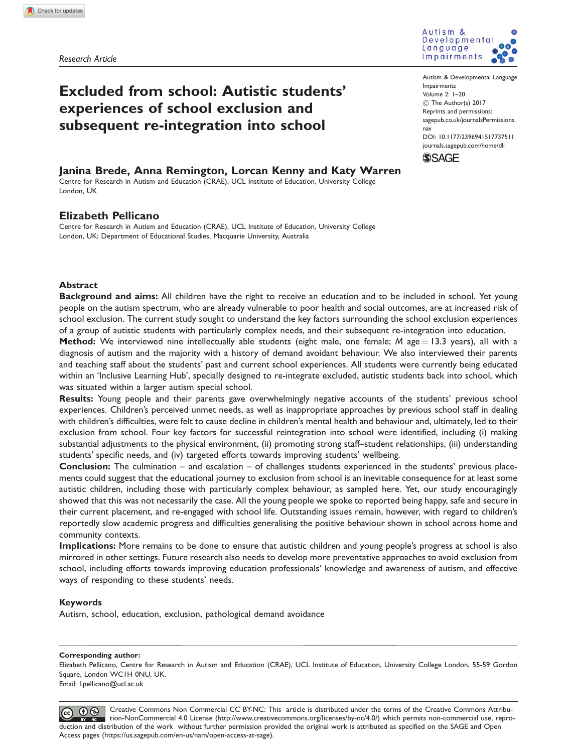Research Article



# Excluded from school: Autistic students' experiences of school exclusion and subsequent re-integration into school

Autism & Developmental Language Impairments Volume 2: 1–20  $\circledcirc$  The Author(s) 2017 Reprints and permissions: [sagepub.co.uk/journalsPermissions.](https://uk.sagepub.com/en-gb/journals-permissions) [nav](https://uk.sagepub.com/en-gb/journals-permissions) DOI: [10.1177/2396941517737511](https://doi.org/10.1177/2396941517737511) <journals.sagepub.com/home/dli>

# **SSAGE**

# Janina Brede, Anna Remington, Lorcan Kenny and Katy Warren

Centre for Research in Autism and Education (CRAE), UCL Institute of Education, University College London, UK

# Elizabeth Pellicano

Centre for Research in Autism and Education (CRAE), UCL Institute of Education, University College London, UK; Department of Educational Studies, Macquarie University, Australia

## **Abstract**

Background and aims: All children have the right to receive an education and to be included in school. Yet young people on the autism spectrum, who are already vulnerable to poor health and social outcomes, are at increased risk of school exclusion. The current study sought to understand the key factors surrounding the school exclusion experiences of a group of autistic students with particularly complex needs, and their subsequent re-integration into education.

Method: We interviewed nine intellectually able students (eight male, one female;  $M$  age = 13.3 years), all with a diagnosis of autism and the majority with a history of demand avoidant behaviour. We also interviewed their parents and teaching staff about the students' past and current school experiences. All students were currently being educated within an 'Inclusive Learning Hub', specially designed to re-integrate excluded, autistic students back into school, which was situated within a larger autism special school.

Results: Young people and their parents gave overwhelmingly negative accounts of the students' previous school experiences. Children's perceived unmet needs, as well as inappropriate approaches by previous school staff in dealing with children's difficulties, were felt to cause decline in children's mental health and behaviour and, ultimately, led to their exclusion from school. Four key factors for successful reintegration into school were identified, including (i) making substantial adjustments to the physical environment, (ii) promoting strong staff–student relationships, (iii) understanding students' specific needs, and (iv) targeted efforts towards improving students' wellbeing.

Conclusion: The culmination – and escalation – of challenges students experienced in the students' previous placements could suggest that the educational journey to exclusion from school is an inevitable consequence for at least some autistic children, including those with particularly complex behaviour, as sampled here. Yet, our study encouragingly showed that this was not necessarily the case. All the young people we spoke to reported being happy, safe and secure in their current placement, and re-engaged with school life. Outstanding issues remain, however, with regard to children's reportedly slow academic progress and difficulties generalising the positive behaviour shown in school across home and community contexts.

Implications: More remains to be done to ensure that autistic children and young people's progress at school is also mirrored in other settings. Future research also needs to develop more preventative approaches to avoid exclusion from school, including efforts towards improving education professionals' knowledge and awareness of autism, and effective ways of responding to these students' needs.

## Keywords

Autism, school, education, exclusion, pathological demand avoidance

#### Corresponding author:

Elizabeth Pellicano, Centre for Research in Autism and Education (CRAE), UCL Institute of Education, University College London, 55-59 Gordon Square, London WC1H 0NU, UK.

Email: l.pellicano@ucl.ac.uk

Creative Commons Non Commercial CC BY-NC: This article is distributed under the terms of the Creative Commons Attribu- $\circled{c}$   $\circledcirc$ tion-NonCommercial 4.0 License (http://www.creativecommons.org/licenses/by-nc/4.0/) which permits non-commercial use, reproduction and distribution of the work without further permission provided the original work is attributed as specified on the SAGE and Open Access pages (https://us.sagepub.com/en-us/nam/open-access-at-sage).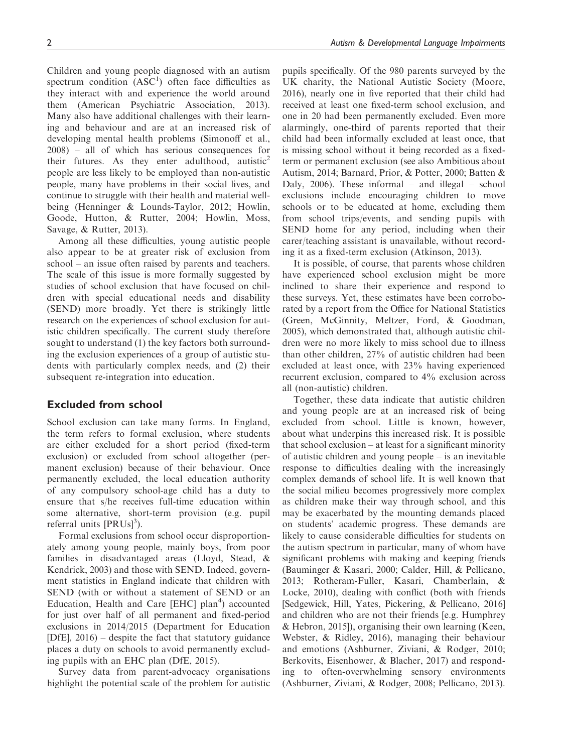Children and young people diagnosed with an autism spectrum condition  $(ASC<sup>1</sup>)$  often face difficulties as they interact with and experience the world around them (American Psychiatric Association, 2013). Many also have additional challenges with their learning and behaviour and are at an increased risk of developing mental health problems (Simonoff et al., 2008) – all of which has serious consequences for their futures. As they enter adulthood, autistic<sup>2</sup> people are less likely to be employed than non-autistic people, many have problems in their social lives, and continue to struggle with their health and material wellbeing (Henninger & Lounds-Taylor, 2012; Howlin, Goode, Hutton, & Rutter, 2004; Howlin, Moss, Savage, & Rutter, 2013).

Among all these difficulties, young autistic people also appear to be at greater risk of exclusion from school – an issue often raised by parents and teachers. The scale of this issue is more formally suggested by studies of school exclusion that have focused on children with special educational needs and disability (SEND) more broadly. Yet there is strikingly little research on the experiences of school exclusion for autistic children specifically. The current study therefore sought to understand (1) the key factors both surrounding the exclusion experiences of a group of autistic students with particularly complex needs, and (2) their subsequent re-integration into education.

## Excluded from school

School exclusion can take many forms. In England, the term refers to formal exclusion, where students are either excluded for a short period (fixed-term exclusion) or excluded from school altogether (permanent exclusion) because of their behaviour. Once permanently excluded, the local education authority of any compulsory school-age child has a duty to ensure that s/he receives full-time education within some alternative, short-term provision (e.g. pupil referral units  $[PRUs]^3$ ).

Formal exclusions from school occur disproportionately among young people, mainly boys, from poor families in disadvantaged areas (Lloyd, Stead, & Kendrick, 2003) and those with SEND. Indeed, government statistics in England indicate that children with SEND (with or without a statement of SEND or an Education, Health and Care [EHC] plan<sup>4</sup>) accounted for just over half of all permanent and fixed-period exclusions in 2014/2015 (Department for Education [DfE], 2016) – despite the fact that statutory guidance places a duty on schools to avoid permanently excluding pupils with an EHC plan (DfE, 2015).

Survey data from parent-advocacy organisations highlight the potential scale of the problem for autistic

pupils specifically. Of the 980 parents surveyed by the UK charity, the National Autistic Society (Moore, 2016), nearly one in five reported that their child had received at least one fixed-term school exclusion, and one in 20 had been permanently excluded. Even more alarmingly, one-third of parents reported that their child had been informally excluded at least once, that is missing school without it being recorded as a fixedterm or permanent exclusion (see also Ambitious about Autism, 2014; Barnard, Prior, & Potter, 2000; Batten & Daly, 2006). These informal – and illegal – school exclusions include encouraging children to move schools or to be educated at home, excluding them from school trips/events, and sending pupils with SEND home for any period, including when their carer/teaching assistant is unavailable, without recording it as a fixed-term exclusion (Atkinson, 2013).

It is possible, of course, that parents whose children have experienced school exclusion might be more inclined to share their experience and respond to these surveys. Yet, these estimates have been corroborated by a report from the Office for National Statistics (Green, McGinnity, Meltzer, Ford, & Goodman, 2005), which demonstrated that, although autistic children were no more likely to miss school due to illness than other children, 27% of autistic children had been excluded at least once, with 23% having experienced recurrent exclusion, compared to 4% exclusion across all (non-autistic) children.

Together, these data indicate that autistic children and young people are at an increased risk of being excluded from school. Little is known, however, about what underpins this increased risk. It is possible that school exclusion – at least for a significant minority of autistic children and young people – is an inevitable response to difficulties dealing with the increasingly complex demands of school life. It is well known that the social milieu becomes progressively more complex as children make their way through school, and this may be exacerbated by the mounting demands placed on students' academic progress. These demands are likely to cause considerable difficulties for students on the autism spectrum in particular, many of whom have significant problems with making and keeping friends (Bauminger & Kasari, 2000; Calder, Hill, & Pellicano, 2013; Rotheram-Fuller, Kasari, Chamberlain, & Locke, 2010), dealing with conflict (both with friends [Sedgewick, Hill, Yates, Pickering, & Pellicano, 2016] and children who are not their friends [e.g. Humphrey & Hebron, 2015]), organising their own learning (Keen, Webster, & Ridley, 2016), managing their behaviour and emotions (Ashburner, Ziviani, & Rodger, 2010; Berkovits, Eisenhower, & Blacher, 2017) and responding to often-overwhelming sensory environments (Ashburner, Ziviani, & Rodger, 2008; Pellicano, 2013).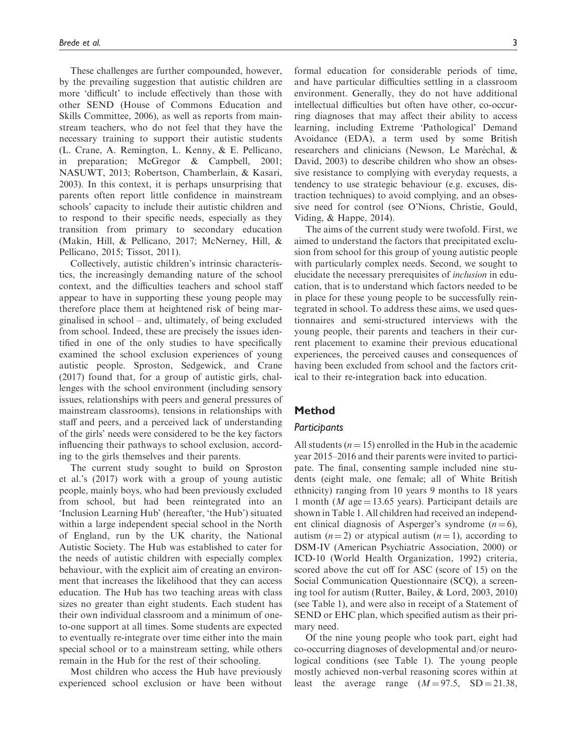These challenges are further compounded, however, by the prevailing suggestion that autistic children are more 'difficult' to include effectively than those with other SEND (House of Commons Education and Skills Committee, 2006), as well as reports from mainstream teachers, who do not feel that they have the necessary training to support their autistic students (L. Crane, A. Remington, L. Kenny, & E. Pellicano, in preparation; McGregor & Campbell, 2001; NASUWT, 2013; Robertson, Chamberlain, & Kasari, 2003). In this context, it is perhaps unsurprising that parents often report little confidence in mainstream schools' capacity to include their autistic children and to respond to their specific needs, especially as they transition from primary to secondary education (Makin, Hill, & Pellicano, 2017; McNerney, Hill, & Pellicano, 2015; Tissot, 2011).

Collectively, autistic children's intrinsic characteristics, the increasingly demanding nature of the school context, and the difficulties teachers and school staff appear to have in supporting these young people may therefore place them at heightened risk of being marginalised in school – and, ultimately, of being excluded from school. Indeed, these are precisely the issues identified in one of the only studies to have specifically examined the school exclusion experiences of young autistic people. Sproston, Sedgewick, and Crane (2017) found that, for a group of autistic girls, challenges with the school environment (including sensory issues, relationships with peers and general pressures of mainstream classrooms), tensions in relationships with staff and peers, and a perceived lack of understanding of the girls' needs were considered to be the key factors influencing their pathways to school exclusion, according to the girls themselves and their parents.

The current study sought to build on Sproston et al.'s (2017) work with a group of young autistic people, mainly boys, who had been previously excluded from school, but had been reintegrated into an 'Inclusion Learning Hub' (hereafter, 'the Hub') situated within a large independent special school in the North of England, run by the UK charity, the National Autistic Society. The Hub was established to cater for the needs of autistic children with especially complex behaviour, with the explicit aim of creating an environment that increases the likelihood that they can access education. The Hub has two teaching areas with class sizes no greater than eight students. Each student has their own individual classroom and a minimum of oneto-one support at all times. Some students are expected to eventually re-integrate over time either into the main special school or to a mainstream setting, while others remain in the Hub for the rest of their schooling.

Most children who access the Hub have previously experienced school exclusion or have been without formal education for considerable periods of time, and have particular difficulties settling in a classroom environment. Generally, they do not have additional intellectual difficulties but often have other, co-occurring diagnoses that may affect their ability to access learning, including Extreme 'Pathological' Demand Avoidance (EDA), a term used by some British researchers and clinicians (Newson, Le Maréchal, & David, 2003) to describe children who show an obsessive resistance to complying with everyday requests, a tendency to use strategic behaviour (e.g. excuses, distraction techniques) to avoid complying, and an obsessive need for control (see O'Nions, Christie, Gould, Viding, & Happe, 2014).

The aims of the current study were twofold. First, we aimed to understand the factors that precipitated exclusion from school for this group of young autistic people with particularly complex needs. Second, we sought to elucidate the necessary prerequisites of inclusion in education, that is to understand which factors needed to be in place for these young people to be successfully reintegrated in school. To address these aims, we used questionnaires and semi-structured interviews with the young people, their parents and teachers in their current placement to examine their previous educational experiences, the perceived causes and consequences of having been excluded from school and the factors critical to their re-integration back into education.

## Method

## **Participants**

All students  $(n = 15)$  enrolled in the Hub in the academic year 2015–2016 and their parents were invited to participate. The final, consenting sample included nine students (eight male, one female; all of White British ethnicity) ranging from 10 years 9 months to 18 years 1 month ( $M$  age = 13.65 years). Participant details are shown in Table 1. All children had received an independent clinical diagnosis of Asperger's syndrome  $(n = 6)$ , autism  $(n=2)$  or atypical autism  $(n=1)$ , according to DSM-IV (American Psychiatric Association, 2000) or ICD-10 (World Health Organization, 1992) criteria, scored above the cut off for ASC (score of 15) on the Social Communication Questionnaire (SCQ), a screening tool for autism (Rutter, Bailey, & Lord, 2003, 2010) (see Table 1), and were also in receipt of a Statement of SEND or EHC plan, which specified autism as their primary need.

Of the nine young people who took part, eight had co-occurring diagnoses of developmental and/or neurological conditions (see Table 1). The young people mostly achieved non-verbal reasoning scores within at least the average range  $(M = 97.5, SD = 21.38,$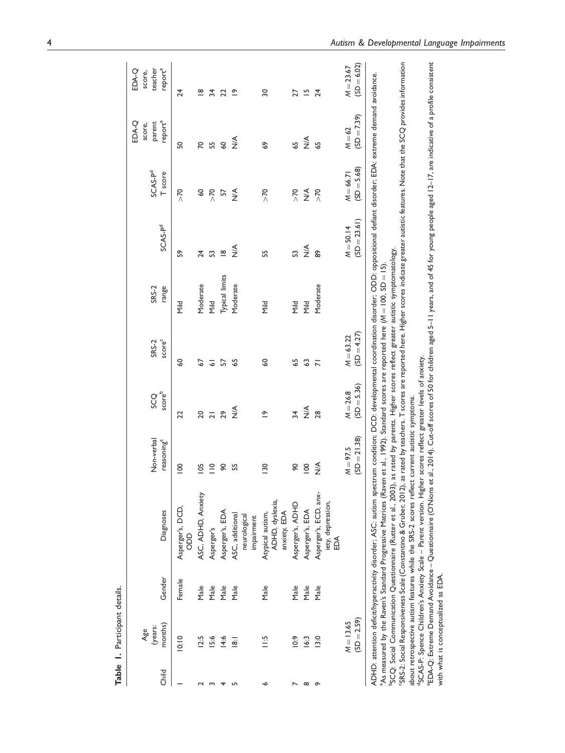|          | Table 1. Participant details.      |            |                                                                                                                                                                                                                                                                                                                                                                                                                                                                                                                                                                                                                                                                                                                                                                                                                                                                                                                               |                                      |                             |                                    |                                                                                                                                                                                                                             |                               |                                |                                      |                                       |
|----------|------------------------------------|------------|-------------------------------------------------------------------------------------------------------------------------------------------------------------------------------------------------------------------------------------------------------------------------------------------------------------------------------------------------------------------------------------------------------------------------------------------------------------------------------------------------------------------------------------------------------------------------------------------------------------------------------------------------------------------------------------------------------------------------------------------------------------------------------------------------------------------------------------------------------------------------------------------------------------------------------|--------------------------------------|-----------------------------|------------------------------------|-----------------------------------------------------------------------------------------------------------------------------------------------------------------------------------------------------------------------------|-------------------------------|--------------------------------|--------------------------------------|---------------------------------------|
| Child    | months)<br>(years:<br>Age          | Gender     | Diagnoses                                                                                                                                                                                                                                                                                                                                                                                                                                                                                                                                                                                                                                                                                                                                                                                                                                                                                                                     | Non-verbal<br>reasoning <sup>a</sup> | scoreb<br>SCQ               | score <sup>c</sup><br><b>SRS-2</b> | range<br>SRS-2                                                                                                                                                                                                              | SCAS-P <sup>d</sup>           | SCAS-P <sup>d</sup><br>T score | reporte<br>parent<br>EDA-Q<br>score, | reporte<br>teacher<br>EDA-Q<br>score, |
|          | 10:10                              | Female     | Asperger's, DCD,<br>8<br>8                                                                                                                                                                                                                                                                                                                                                                                                                                                                                                                                                                                                                                                                                                                                                                                                                                                                                                    | $\overline{0}$                       | 22                          | ဒ္ဓ                                | <b>Mild</b>                                                                                                                                                                                                                 | S9                            | $\overline{\Sigma}$            | SO                                   | 24                                    |
|          | 12.5                               | $M$ a $ e$ | ASC, ADHD, Anxiety                                                                                                                                                                                                                                                                                                                                                                                                                                                                                                                                                                                                                                                                                                                                                                                                                                                                                                            | $\overline{5}$                       | 20                          | 2                                  | Moderate                                                                                                                                                                                                                    | 24                            | SO                             | 20                                   | $\frac{\infty}{\infty}$               |
|          | 15:6                               | $M$ a $ e$ | Asperger's                                                                                                                                                                                                                                                                                                                                                                                                                                                                                                                                                                                                                                                                                                                                                                                                                                                                                                                    | $\stackrel{\circ}{=}$                | $\frac{1}{2}$               | $\overline{\circ}$                 | Nild                                                                                                                                                                                                                        | 53                            | $\frac{5}{2}$                  | 55                                   | 34                                    |
| ෑ        | 14:6                               | $M$ ale    | Asperger's, EDA                                                                                                                                                                                                                                                                                                                                                                                                                                                                                                                                                                                                                                                                                                                                                                                                                                                                                                               | 90                                   |                             | 57                                 | Typical limits                                                                                                                                                                                                              | $\frac{\infty}{\infty}$       | 57                             | $\overline{6}$                       | 22                                    |
|          | $\overline{8}$                     | $M$ ale    | ASC, additional<br>neurological<br>impairment                                                                                                                                                                                                                                                                                                                                                                                                                                                                                                                                                                                                                                                                                                                                                                                                                                                                                 | 5S                                   | $\frac{4}{2}$               | 55                                 | Moderate                                                                                                                                                                                                                    | $\frac{4}{2}$                 | $\frac{4}{2}$                  | $\frac{4}{2}$                        | $\tilde{=}$                           |
| م        | $\frac{15}{11}$                    | Male       | ADHD, dyslexia,<br>Atypical autism,<br>anxiety, EDA                                                                                                                                                                                                                                                                                                                                                                                                                                                                                                                                                                                                                                                                                                                                                                                                                                                                           | <b>130</b>                           | $\tilde{=}$                 | 3                                  | <b>Mild</b>                                                                                                                                                                                                                 | 55                            | $\overline{\Sigma}$            | ę9                                   | $\overline{50}$                       |
|          | $\frac{6}{3}$                      | Male       | Asperger's, ADHD                                                                                                                                                                                                                                                                                                                                                                                                                                                                                                                                                                                                                                                                                                                                                                                                                                                                                                              | 90                                   | $\frac{34}{3}$              | 59                                 | PliN                                                                                                                                                                                                                        | S                             | $\frac{5}{2}$                  | 59                                   | 27                                    |
| $\infty$ | 16:3                               | Male       | Asperger's, EDA                                                                                                                                                                                                                                                                                                                                                                                                                                                                                                                                                                                                                                                                                                                                                                                                                                                                                                               | $\overline{0}$                       | $\stackrel{\leq}{\geq}$     | 3                                  | <b>Mild</b>                                                                                                                                                                                                                 | $\frac{4}{2}$                 | $\stackrel{\leq}{\geq}$        | $rac{1}{2}$                          | $\overline{5}$                        |
| $\sigma$ | 13.0                               | Male       | Asperger's, ECD, anx-<br>iety, depression,<br>EDA                                                                                                                                                                                                                                                                                                                                                                                                                                                                                                                                                                                                                                                                                                                                                                                                                                                                             | $\frac{1}{2}$                        | 28                          | $\overline{N}$                     | Moderate                                                                                                                                                                                                                    | 89                            | $\frac{5}{2}$                  | $\overline{6}$                       | 24                                    |
|          | $(SD = 2.59)$<br>$M = 13.65$       |            |                                                                                                                                                                                                                                                                                                                                                                                                                                                                                                                                                                                                                                                                                                                                                                                                                                                                                                                               | $(SD = 21.38)$<br>$M = 97.5$         | $(SD = 5.36)$<br>$M = 26.8$ | $(SD = 4.27)$<br>$M = 63.22$       |                                                                                                                                                                                                                             | $(SD = 23.61)$<br>$M = 50.14$ | $(SD = 5.68)$<br>$M = 66.71$   | $(SD = 7.39)$<br>$M = 62$            | $(SD = 6.02)$<br>$M = 23.67$          |
|          | with what is conceptualized as EDA |            | EDA-Q: Extreme Demand Avoidance – Questionnaire (O'Nions et al., 2014). Cut-off scores of 50 for children aged 5–11 years, and of 45 for young people aged 12–17, are indicative of a profile consistent<br>ADHD: attention deficit/hyperactivity disorder; ASC: autism spectrum condition; DCD: developmental coordination disorder; ODD: oppositional defiant disorder; EDA: extreme demand avoidance.<br>As measured by the Raven's Standard Progressive Matrices (Raven et al., 1992). Standard scores are reported here (M = 100, SD = 15)<br><sup>0</sup> SCAS-P: Spence Children's Anxiety Scale – Parent version. Higher scores reflect greater levels of anxiety.<br>about retrospective autism features while the SRS-2 scores reflect current autistic symptoms.<br><sup>b</sup> SCQ: Social Communication Questionnaire (Rutter et al., 2003)<br>'SRS-2: Social Responsiveness Scale (Constantino & Gruber, 2012) |                                      |                             |                                    | as rated by teachers. T scores are reported here. Higher scores indicate greater autistic features. Note that the SCQ provides information<br>, as rated by parents. Higher scores reflect greater autistic symptomatology. |                               |                                |                                      |                                       |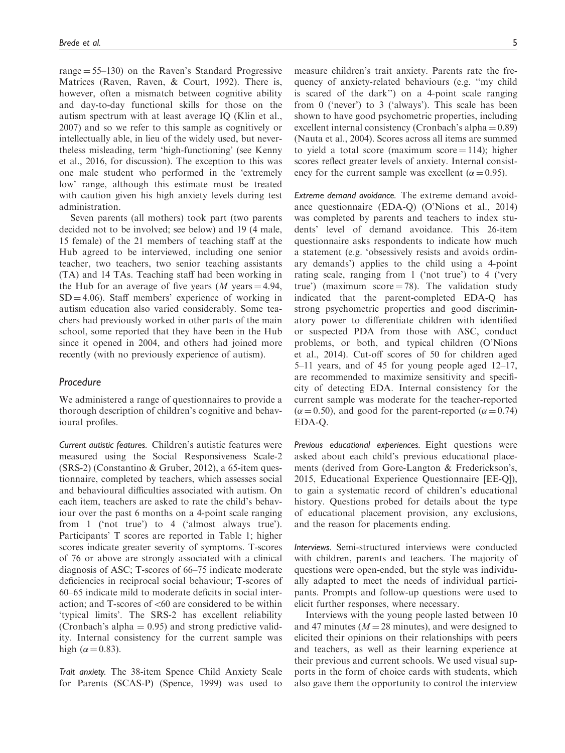range  $= 55-130$  on the Raven's Standard Progressive Matrices (Raven, Raven, & Court, 1992). There is, however, often a mismatch between cognitive ability and day-to-day functional skills for those on the autism spectrum with at least average IQ (Klin et al., 2007) and so we refer to this sample as cognitively or intellectually able, in lieu of the widely used, but nevertheless misleading, term 'high-functioning' (see Kenny et al., 2016, for discussion). The exception to this was one male student who performed in the 'extremely low' range, although this estimate must be treated with caution given his high anxiety levels during test administration.

Seven parents (all mothers) took part (two parents decided not to be involved; see below) and 19 (4 male, 15 female) of the 21 members of teaching staff at the Hub agreed to be interviewed, including one senior teacher, two teachers, two senior teaching assistants (TA) and 14 TAs. Teaching staff had been working in the Hub for an average of five years  $(M$  years  $= 4.94$ ,  $SD = 4.06$ ). Staff members' experience of working in autism education also varied considerably. Some teachers had previously worked in other parts of the main school, some reported that they have been in the Hub since it opened in 2004, and others had joined more recently (with no previously experience of autism).

## Procedure

We administered a range of questionnaires to provide a thorough description of children's cognitive and behavioural profiles.

Current autistic features. Children's autistic features were measured using the Social Responsiveness Scale-2 (SRS-2) (Constantino & Gruber, 2012), a 65-item questionnaire, completed by teachers, which assesses social and behavioural difficulties associated with autism. On each item, teachers are asked to rate the child's behaviour over the past 6 months on a 4-point scale ranging from 1 ('not true') to 4 ('almost always true'). Participants' T scores are reported in Table 1; higher scores indicate greater severity of symptoms. T-scores of 76 or above are strongly associated with a clinical diagnosis of ASC; T-scores of 66–75 indicate moderate deficiencies in reciprocal social behaviour; T-scores of 60–65 indicate mild to moderate deficits in social interaction; and T-scores of  $<60$  are considered to be within 'typical limits'. The SRS-2 has excellent reliability (Cronbach's alpha  $= 0.95$ ) and strong predictive validity. Internal consistency for the current sample was high ( $\alpha$  = 0.83).

Trait anxiety. The 38-item Spence Child Anxiety Scale for Parents (SCAS-P) (Spence, 1999) was used to measure children's trait anxiety. Parents rate the frequency of anxiety-related behaviours (e.g. ''my child is scared of the dark'') on a 4-point scale ranging from 0 ('never') to 3 ('always'). This scale has been shown to have good psychometric properties, including excellent internal consistency (Cronbach's alpha  $= 0.89$ ) (Nauta et al., 2004). Scores across all items are summed to yield a total score (maximum score  $= 114$ ); higher scores reflect greater levels of anxiety. Internal consistency for the current sample was excellent ( $\alpha$  = 0.95).

Extreme demand avoidance. The extreme demand avoidance questionnaire (EDA-Q) (O'Nions et al., 2014) was completed by parents and teachers to index students' level of demand avoidance. This 26-item questionnaire asks respondents to indicate how much a statement (e.g. 'obsessively resists and avoids ordinary demands') applies to the child using a 4-point rating scale, ranging from 1 ('not true') to 4 ('very true') (maximum score  $=$  78). The validation study indicated that the parent-completed EDA-Q has strong psychometric properties and good discriminatory power to differentiate children with identified or suspected PDA from those with ASC, conduct problems, or both, and typical children (O'Nions et al., 2014). Cut-off scores of 50 for children aged 5–11 years, and of 45 for young people aged 12–17, are recommended to maximize sensitivity and specificity of detecting EDA. Internal consistency for the current sample was moderate for the teacher-reported  $(\alpha = 0.50)$ , and good for the parent-reported  $(\alpha = 0.74)$ EDA-Q.

Previous educational experiences. Eight questions were asked about each child's previous educational placements (derived from Gore-Langton & Frederickson's, 2015, Educational Experience Questionnaire [EE-Q]), to gain a systematic record of children's educational history. Questions probed for details about the type of educational placement provision, any exclusions, and the reason for placements ending.

Interviews. Semi-structured interviews were conducted with children, parents and teachers. The majority of questions were open-ended, but the style was individually adapted to meet the needs of individual participants. Prompts and follow-up questions were used to elicit further responses, where necessary.

Interviews with the young people lasted between 10 and 47 minutes ( $M = 28$  minutes), and were designed to elicited their opinions on their relationships with peers and teachers, as well as their learning experience at their previous and current schools. We used visual supports in the form of choice cards with students, which also gave them the opportunity to control the interview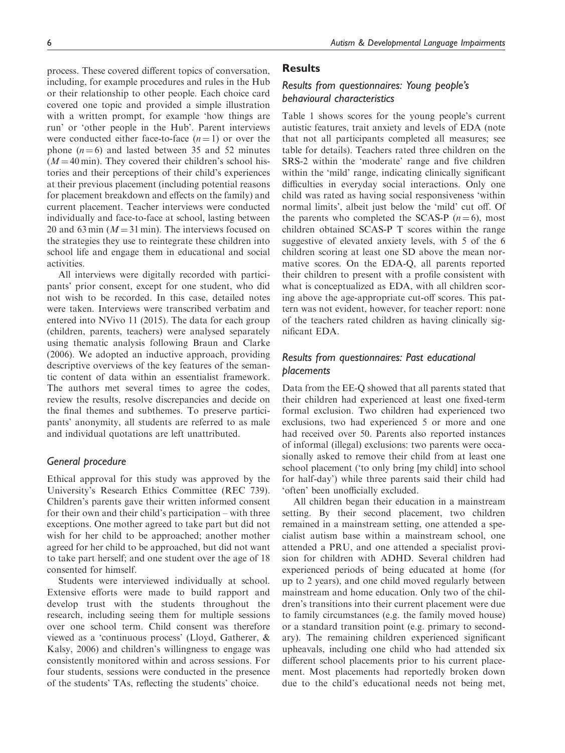process. These covered different topics of conversation, including, for example procedures and rules in the Hub or their relationship to other people. Each choice card covered one topic and provided a simple illustration with a written prompt, for example 'how things are run' or 'other people in the Hub'. Parent interviews were conducted either face-to-face  $(n = 1)$  or over the phone  $(n = 6)$  and lasted between 35 and 52 minutes  $(M = 40 \text{ min})$ . They covered their children's school histories and their perceptions of their child's experiences at their previous placement (including potential reasons for placement breakdown and effects on the family) and current placement. Teacher interviews were conducted individually and face-to-face at school, lasting between 20 and 63 min ( $M = 31$  min). The interviews focused on the strategies they use to reintegrate these children into school life and engage them in educational and social activities.

All interviews were digitally recorded with participants' prior consent, except for one student, who did not wish to be recorded. In this case, detailed notes were taken. Interviews were transcribed verbatim and entered into NVivo 11 (2015). The data for each group (children, parents, teachers) were analysed separately using thematic analysis following Braun and Clarke (2006). We adopted an inductive approach, providing descriptive overviews of the key features of the semantic content of data within an essentialist framework. The authors met several times to agree the codes, review the results, resolve discrepancies and decide on the final themes and subthemes. To preserve participants' anonymity, all students are referred to as male and individual quotations are left unattributed.

#### General procedure

Ethical approval for this study was approved by the University's Research Ethics Committee (REC 739). Children's parents gave their written informed consent for their own and their child's participation – with three exceptions. One mother agreed to take part but did not wish for her child to be approached; another mother agreed for her child to be approached, but did not want to take part herself; and one student over the age of 18 consented for himself.

Students were interviewed individually at school. Extensive efforts were made to build rapport and develop trust with the students throughout the research, including seeing them for multiple sessions over one school term. Child consent was therefore viewed as a 'continuous process' (Lloyd, Gatherer, & Kalsy, 2006) and children's willingness to engage was consistently monitored within and across sessions. For four students, sessions were conducted in the presence of the students' TAs, reflecting the students' choice.

## Results

# Results from questionnaires: Young people's behavioural characteristics

Table 1 shows scores for the young people's current autistic features, trait anxiety and levels of EDA (note that not all participants completed all measures; see table for details). Teachers rated three children on the SRS-2 within the 'moderate' range and five children within the 'mild' range, indicating clinically significant difficulties in everyday social interactions. Only one child was rated as having social responsiveness 'within normal limits', albeit just below the 'mild' cut off. Of the parents who completed the SCAS-P  $(n=6)$ , most children obtained SCAS-P T scores within the range suggestive of elevated anxiety levels, with 5 of the 6 children scoring at least one SD above the mean normative scores. On the EDA-Q, all parents reported their children to present with a profile consistent with what is conceptualized as EDA, with all children scoring above the age-appropriate cut-off scores. This pattern was not evident, however, for teacher report: none of the teachers rated children as having clinically significant EDA.

# Results from questionnaires: Past educational placements

Data from the EE-Q showed that all parents stated that their children had experienced at least one fixed-term formal exclusion. Two children had experienced two exclusions, two had experienced 5 or more and one had received over 50. Parents also reported instances of informal (illegal) exclusions: two parents were occasionally asked to remove their child from at least one school placement ('to only bring [my child] into school for half-day') while three parents said their child had 'often' been unofficially excluded.

All children began their education in a mainstream setting. By their second placement, two children remained in a mainstream setting, one attended a specialist autism base within a mainstream school, one attended a PRU, and one attended a specialist provision for children with ADHD. Several children had experienced periods of being educated at home (for up to 2 years), and one child moved regularly between mainstream and home education. Only two of the children's transitions into their current placement were due to family circumstances (e.g. the family moved house) or a standard transition point (e.g. primary to secondary). The remaining children experienced significant upheavals, including one child who had attended six different school placements prior to his current placement. Most placements had reportedly broken down due to the child's educational needs not being met,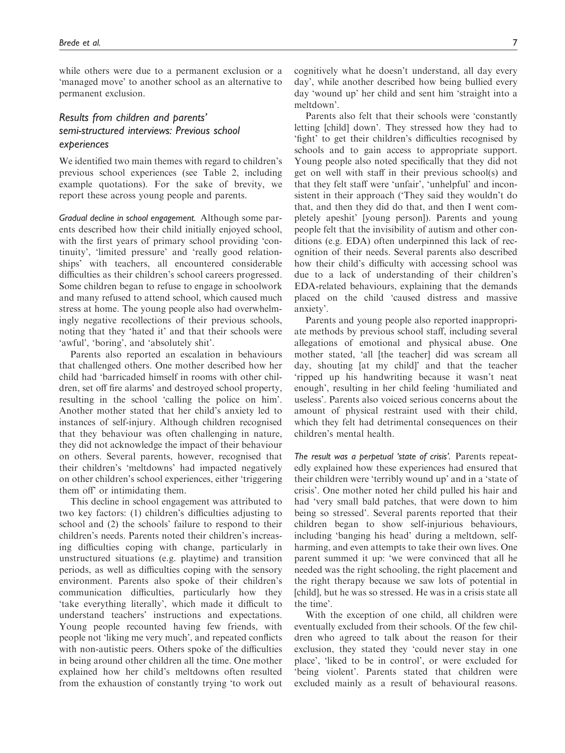while others were due to a permanent exclusion or a 'managed move' to another school as an alternative to permanent exclusion.

# Results from children and parents' semi-structured interviews: Previous school experiences

We identified two main themes with regard to children's previous school experiences (see Table 2, including example quotations). For the sake of brevity, we report these across young people and parents.

Gradual decline in school engagement. Although some parents described how their child initially enjoyed school, with the first years of primary school providing 'continuity', 'limited pressure' and 'really good relationships' with teachers, all encountered considerable difficulties as their children's school careers progressed. Some children began to refuse to engage in schoolwork and many refused to attend school, which caused much stress at home. The young people also had overwhelmingly negative recollections of their previous schools, noting that they 'hated it' and that their schools were 'awful', 'boring', and 'absolutely shit'.

Parents also reported an escalation in behaviours that challenged others. One mother described how her child had 'barricaded himself in rooms with other children, set off fire alarms' and destroyed school property, resulting in the school 'calling the police on him'. Another mother stated that her child's anxiety led to instances of self-injury. Although children recognised that they behaviour was often challenging in nature, they did not acknowledge the impact of their behaviour on others. Several parents, however, recognised that their children's 'meltdowns' had impacted negatively on other children's school experiences, either 'triggering them off' or intimidating them.

This decline in school engagement was attributed to two key factors: (1) children's difficulties adjusting to school and (2) the schools' failure to respond to their children's needs. Parents noted their children's increasing difficulties coping with change, particularly in unstructured situations (e.g. playtime) and transition periods, as well as difficulties coping with the sensory environment. Parents also spoke of their children's communication difficulties, particularly how they 'take everything literally', which made it difficult to understand teachers' instructions and expectations. Young people recounted having few friends, with people not 'liking me very much', and repeated conflicts with non-autistic peers. Others spoke of the difficulties in being around other children all the time. One mother explained how her child's meltdowns often resulted from the exhaustion of constantly trying 'to work out cognitively what he doesn't understand, all day every day', while another described how being bullied every day 'wound up' her child and sent him 'straight into a meltdown'.

Parents also felt that their schools were 'constantly letting [child] down'. They stressed how they had to 'fight' to get their children's difficulties recognised by schools and to gain access to appropriate support. Young people also noted specifically that they did not get on well with staff in their previous school(s) and that they felt staff were 'unfair', 'unhelpful' and inconsistent in their approach ('They said they wouldn't do that, and then they did do that, and then I went completely apeshit' [young person]). Parents and young people felt that the invisibility of autism and other conditions (e.g. EDA) often underpinned this lack of recognition of their needs. Several parents also described how their child's difficulty with accessing school was due to a lack of understanding of their children's EDA-related behaviours, explaining that the demands placed on the child 'caused distress and massive anxiety'.

Parents and young people also reported inappropriate methods by previous school staff, including several allegations of emotional and physical abuse. One mother stated, 'all [the teacher] did was scream all day, shouting [at my child]' and that the teacher 'ripped up his handwriting because it wasn't neat enough', resulting in her child feeling 'humiliated and useless'. Parents also voiced serious concerns about the amount of physical restraint used with their child, which they felt had detrimental consequences on their children's mental health.

The result was a perpetual 'state of crisis'. Parents repeatedly explained how these experiences had ensured that their children were 'terribly wound up' and in a 'state of crisis'. One mother noted her child pulled his hair and had 'very small bald patches, that were down to him being so stressed'. Several parents reported that their children began to show self-injurious behaviours, including 'banging his head' during a meltdown, selfharming, and even attempts to take their own lives. One parent summed it up: 'we were convinced that all he needed was the right schooling, the right placement and the right therapy because we saw lots of potential in [child], but he was so stressed. He was in a crisis state all the time'.

With the exception of one child, all children were eventually excluded from their schools. Of the few children who agreed to talk about the reason for their exclusion, they stated they 'could never stay in one place', 'liked to be in control', or were excluded for 'being violent'. Parents stated that children were excluded mainly as a result of behavioural reasons.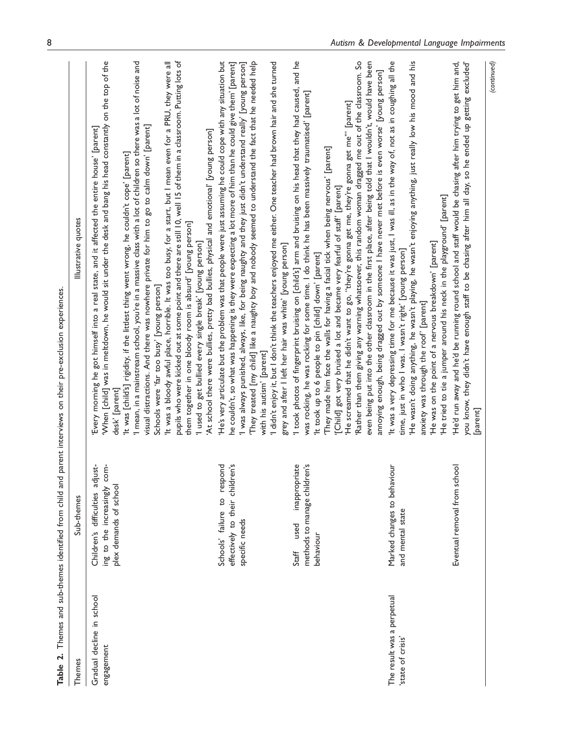| $\overline{2}$ .<br><b>Table</b>                |                                                                                                             | Themes and sub-themes identified from child and parent interviews on their pre-exclusion experiences                                                                                                                                                                                                                                                                                                                                                                                                                                                                                                                                                                                                                                                                                                                                                                                                                                                                                                                                                |
|-------------------------------------------------|-------------------------------------------------------------------------------------------------------------|-----------------------------------------------------------------------------------------------------------------------------------------------------------------------------------------------------------------------------------------------------------------------------------------------------------------------------------------------------------------------------------------------------------------------------------------------------------------------------------------------------------------------------------------------------------------------------------------------------------------------------------------------------------------------------------------------------------------------------------------------------------------------------------------------------------------------------------------------------------------------------------------------------------------------------------------------------------------------------------------------------------------------------------------------------|
| Themes                                          | Sub-themes                                                                                                  | Illustrative quotes                                                                                                                                                                                                                                                                                                                                                                                                                                                                                                                                                                                                                                                                                                                                                                                                                                                                                                                                                                                                                                 |
| Gradual decline in school<br>engagement         | just-<br>:om-<br>Children's difficulties ad<br>$\circ$<br>plex demands of school<br>ing to the increasingly | 'When [child] was in meltdown, he would sit under the desk and bang his head constantly on the top of the<br>$\!$ mean, in a mainstream school, you're in a massive class with a lot of children so there was a lot of noise and<br>pupils who were kicked out at some point and there are still 10, well 15 of them in a classroom. Putting lots of<br>'It was a bloody awful place, horrible. It was too busy, for a start, but I mean even for a PRU, they were all<br>visual distractions. And there was nowhere private for him to go to calm down' [parent]<br>Every morning he got himself into a real state, and it affected the entire house' [parent]<br>'At school there were bullies, pretty bad bullies, physical and emotional' [young person]<br>'It was [child's] rigidity, if the littlest thing went wrong, he couldn't cope' [parent]<br>them together in one bloody room is absurd' [young person]<br>'I used to get bullied every single break' [young person]<br>Schools were 'far too busy' [young person]<br>desk' [parent] |
|                                                 | ren's<br>Schools' failure to respond<br>effectively to their childr<br>specific needs                       | 'He's very articulate but the problem was that people were just assuming he could cope with any situation but<br>They treated [my child] like a naughty boy and nobody seemed to understand the fact that he needed help<br>I didn't enjoy it, but I don't think the teachers enjoyed me either. One teacher had brown hair and she turned<br>he couldn't, so what was happening is they were expecting a lot more of him than he could give them' [parent]<br>I was always punished, always, like, for being naughty and they just didn't understand really' [young person]<br>grey and after I left her hair was white' [young person]<br>with his autism' [parent]                                                                                                                                                                                                                                                                                                                                                                               |
|                                                 | inappropriate<br>methods to manage children's<br>used<br>behaviour<br>Staff                                 | and he<br>Rather than them giving any warning whatsoever, this random woman dragged me out of the classroom. So<br>even being put into the other classroom in the first place, after being told that I wouldn't, would have been<br>annoying enough, being dragged out by someone I have never met before is even worse' [young person]<br>I took photos of fingerprint bruising on [child's] arm and bruising on his head that they had caused,<br>was rocking, he was rocking for some time. I do think he has been massively traumatised' [parent]<br>'He screamed that he didn't want to go, "they're gonna get me, they're gonna get me"" [parent]<br>They made him face the walls for having a facial tick when being nervous' [parent]<br>[Child] got very bruised a lot and became very fearful of staff' [parent]<br>'It took up to 6 people to pin [child] down' [parent]                                                                                                                                                                 |
| The result was a perpetual<br>'state of crisis' | Marked changes to behaviour<br>and mental state                                                             | 'It was a very depressing time for me because it was just, I was ill, as in the way of, not as in coughing all the<br>'He wasn't doing anything, he wasn't playing, he wasn't enjoying anything, just really low his mood and his<br>'He tried to tie a jumper around his neck in the playground' [parent]<br>'He was on the point of a nervous breakdown' [parent]<br>time, just in who I was. I wasn't right' [young person]<br>anxiety was through the roof' [parent]                                                                                                                                                                                                                                                                                                                                                                                                                                                                                                                                                                            |
|                                                 | Eventual removal from school                                                                                | He'd run away and he'd be running round school and staff would be chasing after him trying to get him and,<br>(continued)<br>you know, they didn't have enough staff to be chasing after him all day, so he ended up getting excluded'<br>[parent]                                                                                                                                                                                                                                                                                                                                                                                                                                                                                                                                                                                                                                                                                                                                                                                                  |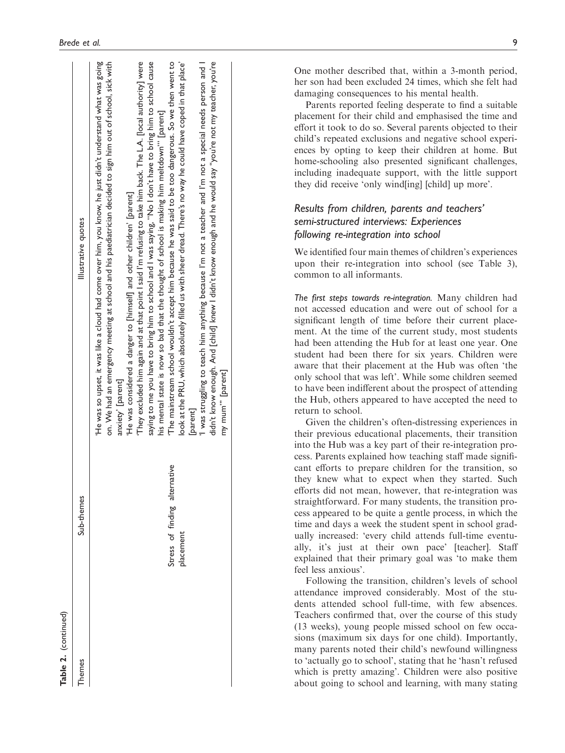| <b>Table 2.</b> (continued) |                                   |                                                                                                                                                                                                                             |
|-----------------------------|-----------------------------------|-----------------------------------------------------------------------------------------------------------------------------------------------------------------------------------------------------------------------------|
| hemes                       | Sub-themes                        | Illustrative quotes                                                                                                                                                                                                         |
|                             |                                   | on. We had an emergency meeting at school and his paediatrician decided to sign him out of school, sick with<br>He was so upset, it was like a cloud had come over him, you know, he just didn't understand what was going' |
|                             |                                   | 'He was considered a danger to [himself] and other children' [parent]<br>anxiety [parent]                                                                                                                                   |
|                             |                                   | They excluded him again and at that point I said I'm refusing to take him back. The L.A. [local authority] were                                                                                                             |
|                             |                                   | saying to me you have to bring him to school and I was saying, "No I don't have to bring him to school cause<br>his mental state is now so bad that the thought of school is making him meltdown"" [parent]                 |
|                             | native<br>Stress of finding alter | The mainstream school wouldn't accept him because he was said to be too dangerous. So we then went to                                                                                                                       |
|                             | <b>p</b> lacement                 | look at the PRU, which absolutely filled us with sheer dread. There's no way he could have coped in that place'                                                                                                             |
|                             |                                   | <b>parent</b>                                                                                                                                                                                                               |
|                             |                                   | I was struggling to teach him anything because I'm not a teacher and I'm not a special needs person and l                                                                                                                   |
|                             |                                   | didn't know enough. And [child] knew I didn't know enough and he would say "you're not my teacher, you're                                                                                                                   |
|                             |                                   | my mum" [parent]                                                                                                                                                                                                            |

One mother described that, within a 3-month period, her son had been excluded 24 times, which she felt had damaging consequences to his mental health.

Parents reported feeling desperate to find a suitable placement for their child and emphasised the time and effort it took to do so. Several parents objected to their child's repeated exclusions and negative school experiences by opting to keep their children at home. But home-schooling also presented significant challenges, including inadequate support, with the little support they did receive 'only wind[ing] [child] up more'.

# Results from children, parents and teachers' semi-structured interviews: Experiences following re-integration into school

We identified four main themes of children's experiences upon their re-integration into school (see Table 3), common to all informants.

The first steps towards re-integration. Many children had not accessed education and were out of school for a significant length of time before their current placement. At the time of the current study, most students had been attending the Hub for at least one year. One student had been there for six years. Children were aware that their placement at the Hub was often 'the only school that was left'. While some children seemed to have been indifferent about the prospect of attending the Hub, others appeared to have accepted the need to return to school.

Given the children's often-distressing experiences in their previous educational placements, their transition into the Hub was a key part of their re-integration process. Parents explained how teaching staff made significant efforts to prepare children for the transition, so they knew what to expect when they started. Such efforts did not mean, however, that re-integration was straightforward. For many students, the transition process appeared to be quite a gentle process, in which the time and days a week the student spent in school gradually increased: 'every child attends full-time eventually, it's just at their own pace' [teacher]. Staff explained that their primary goal was 'to make them feel less anxious'.

Following the transition, children's levels of school attendance improved considerably. Most of the students attended school full-time, with few absences. Teachers confirmed that, over the course of this study (13 weeks), young people missed school on few occasions (maximum six days for one child). Importantly, many parents noted their child's newfound willingness to 'actually go to school', stating that he 'hasn't refused which is pretty amazing'. Children were also positive about going to school and learning, with many stating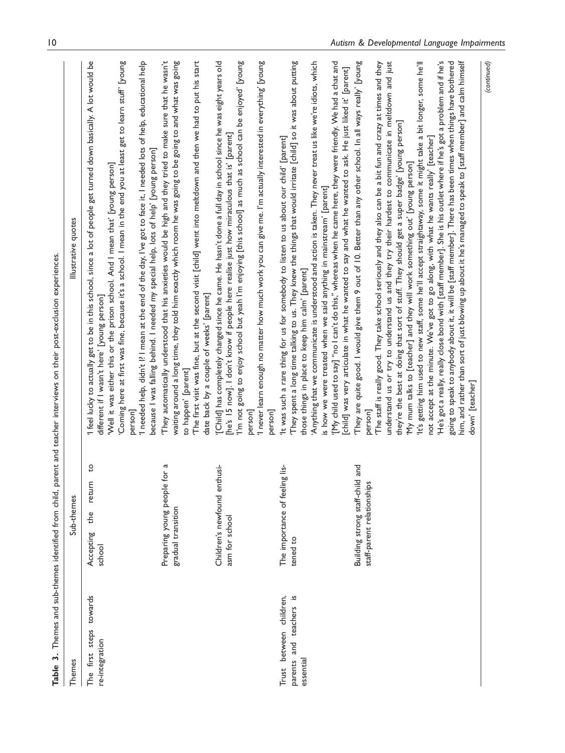|                                                                    |                                                                     | Table 3. Themes and sub-themes identified from child, parent and teacher interviews on their post-exclusion experiences.                                                                                                                                                                                                                                                                                                                                                                                                                                                                                                                                                                                                                                                                                                                                                                                                                                                                                                                                                                                                     |
|--------------------------------------------------------------------|---------------------------------------------------------------------|------------------------------------------------------------------------------------------------------------------------------------------------------------------------------------------------------------------------------------------------------------------------------------------------------------------------------------------------------------------------------------------------------------------------------------------------------------------------------------------------------------------------------------------------------------------------------------------------------------------------------------------------------------------------------------------------------------------------------------------------------------------------------------------------------------------------------------------------------------------------------------------------------------------------------------------------------------------------------------------------------------------------------------------------------------------------------------------------------------------------------|
| Themes                                                             | Sub-themes                                                          | Illustrative quotes                                                                                                                                                                                                                                                                                                                                                                                                                                                                                                                                                                                                                                                                                                                                                                                                                                                                                                                                                                                                                                                                                                          |
| towards<br>steps<br>re-integration<br>first<br>The                 | G<br>return<br>the<br>Accepting<br>school                           | 'I feel lucky to actually get to be in this school, since a lot of people get turned down basically. A lot would be<br>'Coming here at first was fine, because it's a school. I mean in the end you at least get to learn stuff' [young<br>I needed help, didn't I? I mean at the end of the day, I've got to face it, I needed lots of help, educational help<br>because I was falling behind. I needed my special help, lots of help' [young person]<br>'Well it was either this or the prison school. And I mean that' [young person]<br>different if I wasn't here' [young person]<br>personl                                                                                                                                                                                                                                                                                                                                                                                                                                                                                                                            |
|                                                                    | ß<br>$\overline{5}$<br>Preparing young people<br>gradual transition | They automatically understood that his anxieties would be high and they tried to make sure that he wasn't<br>The first visit was fine, but at the second visit [child] went into meltdown and then we had to put his start<br>waiting around a long time, they told him exactly which room he was going to be going to and what was going<br>date back by a couple of weeks' [parent]<br>to happen' [parent]                                                                                                                                                                                                                                                                                                                                                                                                                                                                                                                                                                                                                                                                                                                 |
|                                                                    | Children's newfound enthusi-<br>asm for school                      | 'I never learn enough no matter how much work you can give me. I'm actually interested in everything' [young<br>I'm not going to enjoy school but yeah I'm enjoying [this school] as much as school can be enjoyed' [young<br>'[Child] has completely changed since he came. He hasn't done a full day in school since he was eight years old<br>[he's 15 now]. I don't know if people here realise just how miraculous that is' [parent]<br>person]<br>person]                                                                                                                                                                                                                                                                                                                                                                                                                                                                                                                                                                                                                                                              |
| and teachers is<br>Trust between children,<br>parents<br>essential | The importance of feeling lis-<br>tened to                          | They spent a long time talking to us. They knew the things that would irritate [child] so it was about putting<br>[My child used to say] "no I can't do this," whereas when he came here, they were friendly. We had a chat and<br>Anything that we communicate is understood and action is taken. They never treat us like we're idiots, which<br>[child] was very articulate in what he wanted to say and what he wanted to ask. He just liked it' [parent]<br>'It was such a rare thing for us for somebody to listen to us about our child' [parent]<br>is how we were treated when we said anything in mainstream' [parent]<br>those things in place to keep him calm' [parent]                                                                                                                                                                                                                                                                                                                                                                                                                                         |
|                                                                    | and<br>Building strong staff-child<br>staff-parent relationships    | him, and rather than sort of just blowing up about it he's managed to speak to [staff member] and calm himself<br>They are quite good. I would give them 9 out of 10. Better than any other school. In all ways really' [young'<br>'It's getting him used to new staff, some he'll accept straightaway, some it might take a bit longer, some he'll<br>'He's got a really, really close bond with [staff member]. She is his outlet where if he's got a problem and if he's<br>understand us or try to understand us and they try their hardest to communicate in meltdown and just<br>going to speak to anybody about it, it will be [staff member]. There has been times when things have bothered<br>The staff is really good. They take school seriously and they also can be a bit fun and crazy at times and they<br>they're the best at doing that sort of stuff. They should get a super badge' [young person]<br>not accept at the minute. We've got to go along, with what he wants really' [teacher]<br>'My mum talks to [teacher] and they will work something out' [young person]<br>down' [teacher]<br>person] |
|                                                                    |                                                                     | (continued)                                                                                                                                                                                                                                                                                                                                                                                                                                                                                                                                                                                                                                                                                                                                                                                                                                                                                                                                                                                                                                                                                                                  |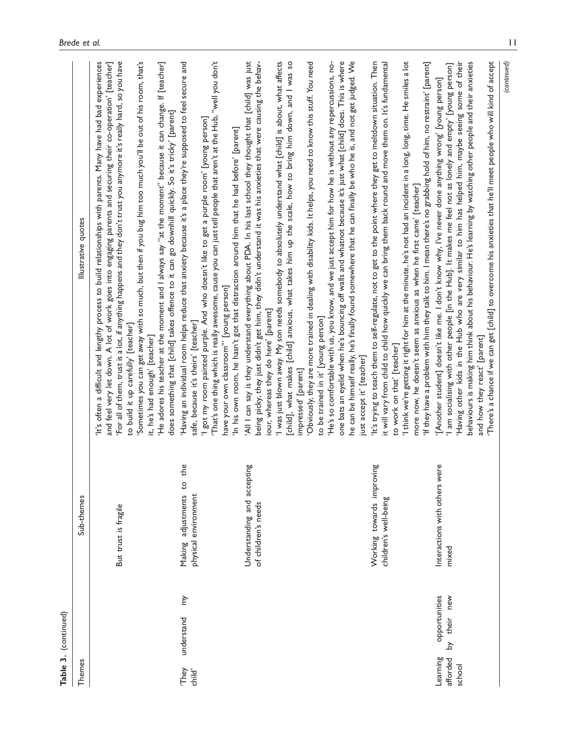|                                | Table 3. (continued)                |                                                        |                                                                                                                                                                                                                                                                                                                                                                                                                                                                                                                                                                                                                                                                                                                                                                                                                                                                                                                                                                                                                                                                    |
|--------------------------------|-------------------------------------|--------------------------------------------------------|--------------------------------------------------------------------------------------------------------------------------------------------------------------------------------------------------------------------------------------------------------------------------------------------------------------------------------------------------------------------------------------------------------------------------------------------------------------------------------------------------------------------------------------------------------------------------------------------------------------------------------------------------------------------------------------------------------------------------------------------------------------------------------------------------------------------------------------------------------------------------------------------------------------------------------------------------------------------------------------------------------------------------------------------------------------------|
| Themes                         |                                     | Sub-themes                                             | Illustrative quotes                                                                                                                                                                                                                                                                                                                                                                                                                                                                                                                                                                                                                                                                                                                                                                                                                                                                                                                                                                                                                                                |
|                                |                                     | But trust is fragile                                   | It's often a difficult and lengthy process to build relationships with parents. Many have had bad experiences<br>and feel very let down. A lot of work goes into engaging parents and securing their co-operation' [teacher]<br>For all of them, trust is a lot, if anything happens and they don't trust you anymore it's really hard, so you have<br>Sometimes you can get away with so much, but then if you bug him too much you'll be out of his room, that's<br>'He adores his teacher at the moment and I always say "at the moment" because it can change. If [teacher]<br>does something that [child] takes offence to it can go downhill quickly. So it's tricky' [parent]<br>to build it up carefully' [teacher]<br>it, he's had enough' [teacher]                                                                                                                                                                                                                                                                                                      |
| They<br>child'                 | ì<br>understand                     | the<br>ö<br>physical environment<br>Making adjustments | 'Having an individual room helps reduce that anxiety because it's a place they're supposed to feel secure and<br>That's one thing which is really awesome, cause you can just tell people that aren't at the Hub, ''well you don't' $\sim$<br>I got my room painted purple. And who doesn't like to get a purple room' [young person]<br>'In his own room, he hasn't got that distraction around him that he had before' [parent]<br>have your own classroom" [young person]<br>safe, because it's theirs' [teacher]                                                                                                                                                                                                                                                                                                                                                                                                                                                                                                                                               |
|                                |                                     | Understanding and accepting<br>of children's needs     | 'All I can say is they understand everything about PDA. In his last school they thought that [child] was just<br>being picky, they just didn't get him, they didn't understand it was his anxieties that were causing the behav-<br>I was just blown away. My son needs somebody to absolutely understand what [child] is about, what affects<br>[child], what makes [child] anxious, what takes him up the scale, how to bring him down, and I was so<br>Obviously, they are more trained in dealing with disability kids. It helps, you need to know this stuff. You need<br>'He's so comfortable with us, you know, and we just accept him for how he is without any repercussions, no-<br>one bats an eyelid when he's bouncing off walls and whatnot because it's just what [child] does. This is where<br>he can be himself really, he's finally found somewhere that he can finally be who he is, and not get judged. We<br>iour, whereas they do here' [parent]<br>to be trained in it' [young person]<br>just accept it' [teacher]<br>impressed' [parent] |
|                                |                                     | Working towards improving<br>children's well-being     | It's trying to teach them to self-regulate, not to get to the point where they get to meltdown situation. Then<br>I think we're getting it right for him at the minute, he's not had an incident in a long, long, time. He smiles a lot<br>it will vary from child to child how quickly we can bring them back round and move them on. It's fundamental<br>'If they have a problem with him they talk to him. I mean there's no grabbing hold of him, no restraint' [parent]<br>more now, he doesn't seem as anxious as when he first came' [teacher]<br>to work on that' [teacher]                                                                                                                                                                                                                                                                                                                                                                                                                                                                                |
| Learning<br>afforded<br>school | opportunities<br>new<br>their<br>کر | Interactions with others were<br>mixed                 | Having other kids in the Hub who are very similar to him has helped him, maybe seeing some of their<br>behaviours is making him think about his behaviour. He's learning by watching other people and their anxieties<br>There's a chance if we can get [child] to overcome his anxieties that he'll meet people who will kind of accept<br>I am socialising with other people [in the Hub]. It makes me feel not as lonely and empty' [young person]<br>[Another student] doesn't like me. I don't know why, I've never done anything wrong' [young person]<br>and how they react' [parent]                                                                                                                                                                                                                                                                                                                                                                                                                                                                       |

(continued)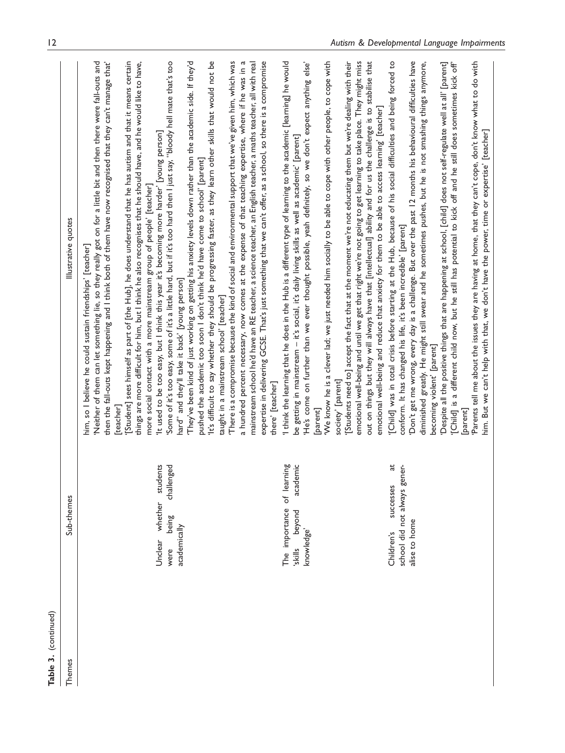| Table 3. (continued) |                                                                                      |                                                                                                                                                                                                                                                                                                                                                                                                                                                                                                                                                                                                                                                                                                                                                                                                                                                                                                                                                                                                                                                                                                                                                                                                                                                                                                                                                                                                                                                                                                                                                                                                                                                                                                                                |
|----------------------|--------------------------------------------------------------------------------------|--------------------------------------------------------------------------------------------------------------------------------------------------------------------------------------------------------------------------------------------------------------------------------------------------------------------------------------------------------------------------------------------------------------------------------------------------------------------------------------------------------------------------------------------------------------------------------------------------------------------------------------------------------------------------------------------------------------------------------------------------------------------------------------------------------------------------------------------------------------------------------------------------------------------------------------------------------------------------------------------------------------------------------------------------------------------------------------------------------------------------------------------------------------------------------------------------------------------------------------------------------------------------------------------------------------------------------------------------------------------------------------------------------------------------------------------------------------------------------------------------------------------------------------------------------------------------------------------------------------------------------------------------------------------------------------------------------------------------------|
| Themes               | Sub-themes                                                                           | Illustrative quotes                                                                                                                                                                                                                                                                                                                                                                                                                                                                                                                                                                                                                                                                                                                                                                                                                                                                                                                                                                                                                                                                                                                                                                                                                                                                                                                                                                                                                                                                                                                                                                                                                                                                                                            |
|                      | students<br>challenged<br>whether<br>being<br>academically<br>Unclear<br>were        | 'Neither of them can let something lie, so they really got on for a little bit and then there were fall-outs and<br>'[Student] sees himself as part of [the Hub], he does understand that he has autism and that it means certain<br>'Some of it's too easy, some of it's a little hard, but if it's too hard then I just say, "bloody hell mate that's too<br>They've been kind of just working on getting his anxiety levels down rather than the academic side. If they'd'<br>It's difficult to say whether they should be progressing faster, as they learn other skills that would not be<br>There is a compromise because the kind of social and environmental support that we've given him, which was<br>a hundred percent necessary, now comes at the expense of that teaching expertise, where if he was in a<br>expertise in delivering GCSE. That's just something that we can't offer, as a school, so there is a compromise<br>then the fall-outs kept happening and I think both of them have now recognised that they can't manage that'<br>things are more difficult for him, but I think he also recognises that he should have, and he would like to have,<br>mainstream school he'd have an RE teacher, a science teacher, an English teacher, a maths teacher, all with real<br>'It used to be too easy, but I think this year it's becoming more harder' [young person]<br>pushed the academic too soon I don't think he'd have come to school' [parent]<br>more social contact with a more mainstream group of people' [teacher]<br>him, so I believe he could sustain friendships' [teacher]<br>hard" and they'll take it back' [young person]<br>taught in a mainstream school' [teacher]<br>[teacher] |
|                      | lemic<br>The importance of learning<br>acad<br>beyond<br>knowledge'<br>sliys,        | I think the learning that he does in the Hub is a different type of learning to the academic [learning] he would<br>'[Students need to] accept the fact that at the moment we're not educating them but we're dealing with their<br>emotional well-being and until we get that right we're not going to get learning to take place. They might miss<br>out on things but they will always have that [intellectual] ability and for us the challenge is to stabilise that<br>'We know he is a clever lad; we just needed him socially to be able to cope with other people, to cope with<br>'He's come on further than we ever thought possible, yeah definitely, so we don't expect anything else'<br>emotional well-being and reduce that anxiety for them to be able to access learning' [teacher]<br>be getting in mainstream - it's social, it's daily living skills as well as academic' [parent]<br>society' [parent]<br>there' [teacher]<br>[parent]                                                                                                                                                                                                                                                                                                                                                                                                                                                                                                                                                                                                                                                                                                                                                                    |
|                      | đ<br>school did not always gener-<br>successes<br>alise to home<br><b>Children's</b> | "Don't get me wrong, every day is a challenge. But over the past 12 months his behavioural difficulties have<br>"[Child] was in total crisis before starting at the Hub, because of his social difficulties and being forced to<br>diminished greatly. He might still swear and he sometimes pushes, but he is not smashing things anymore,<br>'Parents tell me about the issues they are having at home, that they can't cope, don't know what to do with<br>'Despite all the positive things that are happening at school, [child] does not self-regulate well at all' [parent]<br>[Child] is a different child now, but he still has potential to kick off and he still does sometimes kick off'<br>him. But we can't help with that, we don't have the power, time or expertise' [teacher]<br>conform. It has changed his life, it's been incredible' [parent]<br>becoming violent' [parent]<br>[parent]                                                                                                                                                                                                                                                                                                                                                                                                                                                                                                                                                                                                                                                                                                                                                                                                                   |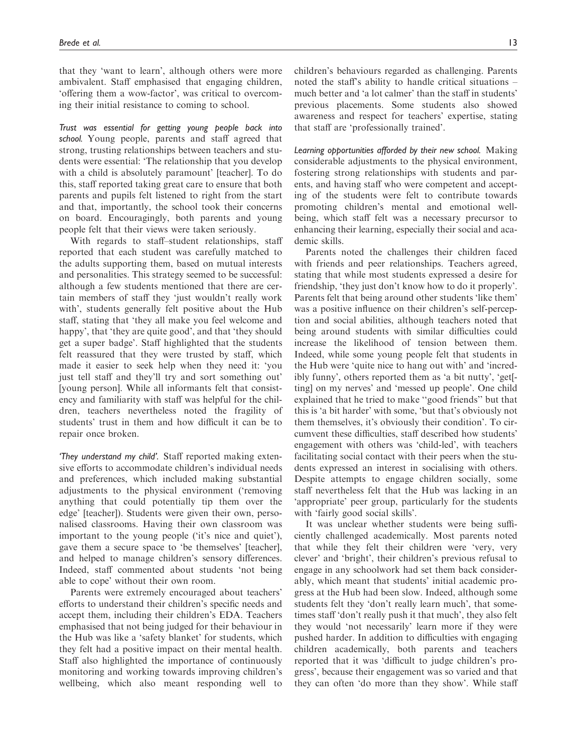that they 'want to learn', although others were more ambivalent. Staff emphasised that engaging children, 'offering them a wow-factor', was critical to overcoming their initial resistance to coming to school.

Trust was essential for getting young people back into school. Young people, parents and staff agreed that strong, trusting relationships between teachers and students were essential: 'The relationship that you develop with a child is absolutely paramount' [teacher]. To do this, staff reported taking great care to ensure that both parents and pupils felt listened to right from the start and that, importantly, the school took their concerns on board. Encouragingly, both parents and young people felt that their views were taken seriously.

With regards to staff–student relationships, staff reported that each student was carefully matched to the adults supporting them, based on mutual interests and personalities. This strategy seemed to be successful: although a few students mentioned that there are certain members of staff they 'just wouldn't really work with', students generally felt positive about the Hub staff, stating that 'they all make you feel welcome and happy', that 'they are quite good', and that 'they should get a super badge'. Staff highlighted that the students felt reassured that they were trusted by staff, which made it easier to seek help when they need it: 'you just tell staff and they'll try and sort something out' [young person]. While all informants felt that consistency and familiarity with staff was helpful for the children, teachers nevertheless noted the fragility of students' trust in them and how difficult it can be to repair once broken.

'They understand my child'. Staff reported making extensive efforts to accommodate children's individual needs and preferences, which included making substantial adjustments to the physical environment ('removing anything that could potentially tip them over the edge' [teacher]). Students were given their own, personalised classrooms. Having their own classroom was important to the young people ('it's nice and quiet'), gave them a secure space to 'be themselves' [teacher], and helped to manage children's sensory differences. Indeed, staff commented about students 'not being able to cope' without their own room.

Parents were extremely encouraged about teachers' efforts to understand their children's specific needs and accept them, including their children's EDA. Teachers emphasised that not being judged for their behaviour in the Hub was like a 'safety blanket' for students, which they felt had a positive impact on their mental health. Staff also highlighted the importance of continuously monitoring and working towards improving children's wellbeing, which also meant responding well to children's behaviours regarded as challenging. Parents noted the staff's ability to handle critical situations – much better and 'a lot calmer' than the staff in students' previous placements. Some students also showed awareness and respect for teachers' expertise, stating that staff are 'professionally trained'.

Learning opportunities afforded by their new school. Making considerable adjustments to the physical environment, fostering strong relationships with students and parents, and having staff who were competent and accepting of the students were felt to contribute towards promoting children's mental and emotional wellbeing, which staff felt was a necessary precursor to enhancing their learning, especially their social and academic skills.

Parents noted the challenges their children faced with friends and peer relationships. Teachers agreed, stating that while most students expressed a desire for friendship, 'they just don't know how to do it properly'. Parents felt that being around other students 'like them' was a positive influence on their children's self-perception and social abilities, although teachers noted that being around students with similar difficulties could increase the likelihood of tension between them. Indeed, while some young people felt that students in the Hub were 'quite nice to hang out with' and 'incredibly funny', others reported them as 'a bit nutty', 'get[ ting] on my nerves' and 'messed up people'. One child explained that he tried to make ''good friends'' but that this is 'a bit harder' with some, 'but that's obviously not them themselves, it's obviously their condition'. To circumvent these difficulties, staff described how students' engagement with others was 'child-led', with teachers facilitating social contact with their peers when the students expressed an interest in socialising with others. Despite attempts to engage children socially, some staff nevertheless felt that the Hub was lacking in an 'appropriate' peer group, particularly for the students with 'fairly good social skills'.

It was unclear whether students were being sufficiently challenged academically. Most parents noted that while they felt their children were 'very, very clever' and 'bright', their children's previous refusal to engage in any schoolwork had set them back considerably, which meant that students' initial academic progress at the Hub had been slow. Indeed, although some students felt they 'don't really learn much', that sometimes staff 'don't really push it that much', they also felt they would 'not necessarily' learn more if they were pushed harder. In addition to difficulties with engaging children academically, both parents and teachers reported that it was 'difficult to judge children's progress', because their engagement was so varied and that they can often 'do more than they show'. While staff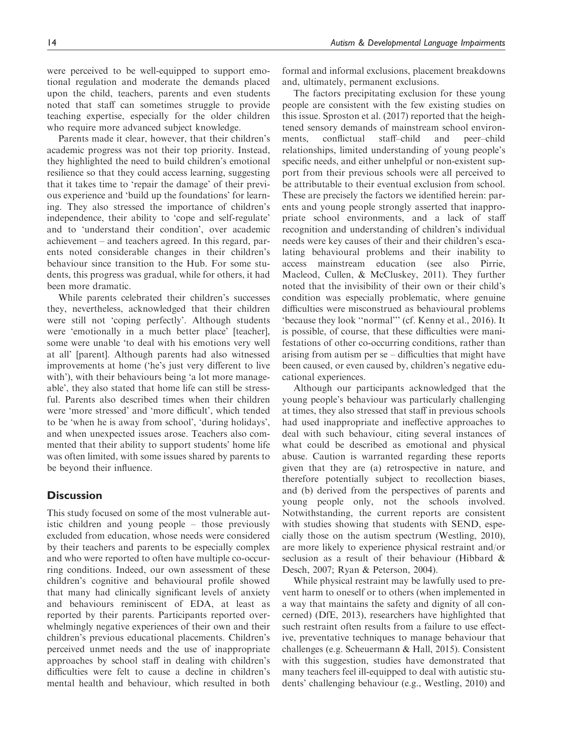were perceived to be well-equipped to support emotional regulation and moderate the demands placed upon the child, teachers, parents and even students noted that staff can sometimes struggle to provide teaching expertise, especially for the older children who require more advanced subject knowledge.

Parents made it clear, however, that their children's academic progress was not their top priority. Instead, they highlighted the need to build children's emotional resilience so that they could access learning, suggesting that it takes time to 'repair the damage' of their previous experience and 'build up the foundations' for learning. They also stressed the importance of children's independence, their ability to 'cope and self-regulate' and to 'understand their condition', over academic achievement – and teachers agreed. In this regard, parents noted considerable changes in their children's behaviour since transition to the Hub. For some students, this progress was gradual, while for others, it had been more dramatic.

While parents celebrated their children's successes they, nevertheless, acknowledged that their children were still not 'coping perfectly'. Although students were 'emotionally in a much better place' [teacher], some were unable 'to deal with his emotions very well at all' [parent]. Although parents had also witnessed improvements at home ('he's just very different to live with'), with their behaviours being 'a lot more manageable', they also stated that home life can still be stressful. Parents also described times when their children were 'more stressed' and 'more difficult', which tended to be 'when he is away from school', 'during holidays', and when unexpected issues arose. Teachers also commented that their ability to support students' home life was often limited, with some issues shared by parents to be beyond their influence.

# **Discussion**

This study focused on some of the most vulnerable autistic children and young people – those previously excluded from education, whose needs were considered by their teachers and parents to be especially complex and who were reported to often have multiple co-occurring conditions. Indeed, our own assessment of these children's cognitive and behavioural profile showed that many had clinically significant levels of anxiety and behaviours reminiscent of EDA, at least as reported by their parents. Participants reported overwhelmingly negative experiences of their own and their children's previous educational placements. Children's perceived unmet needs and the use of inappropriate approaches by school staff in dealing with children's difficulties were felt to cause a decline in children's mental health and behaviour, which resulted in both formal and informal exclusions, placement breakdowns and, ultimately, permanent exclusions.

The factors precipitating exclusion for these young people are consistent with the few existing studies on this issue. Sproston et al. (2017) reported that the heightened sensory demands of mainstream school environments, conflictual staff–child and peer–child relationships, limited understanding of young people's specific needs, and either unhelpful or non-existent support from their previous schools were all perceived to be attributable to their eventual exclusion from school. These are precisely the factors we identified herein: parents and young people strongly asserted that inappropriate school environments, and a lack of staff recognition and understanding of children's individual needs were key causes of their and their children's escalating behavioural problems and their inability to access mainstream education (see also Pirrie, Macleod, Cullen, & McCluskey, 2011). They further noted that the invisibility of their own or their child's condition was especially problematic, where genuine difficulties were misconstrued as behavioural problems 'because they look ''normal''' (cf. Kenny et al., 2016). It is possible, of course, that these difficulties were manifestations of other co-occurring conditions, rather than arising from autism per se – difficulties that might have been caused, or even caused by, children's negative educational experiences.

Although our participants acknowledged that the young people's behaviour was particularly challenging at times, they also stressed that staff in previous schools had used inappropriate and ineffective approaches to deal with such behaviour, citing several instances of what could be described as emotional and physical abuse. Caution is warranted regarding these reports given that they are (a) retrospective in nature, and therefore potentially subject to recollection biases, and (b) derived from the perspectives of parents and young people only, not the schools involved. Notwithstanding, the current reports are consistent with studies showing that students with SEND, especially those on the autism spectrum (Westling, 2010), are more likely to experience physical restraint and/or seclusion as a result of their behaviour (Hibbard & Desch, 2007; Ryan & Peterson, 2004).

While physical restraint may be lawfully used to prevent harm to oneself or to others (when implemented in a way that maintains the safety and dignity of all concerned) (DfE, 2013), researchers have highlighted that such restraint often results from a failure to use effective, preventative techniques to manage behaviour that challenges (e.g. Scheuermann & Hall, 2015). Consistent with this suggestion, studies have demonstrated that many teachers feel ill-equipped to deal with autistic students' challenging behaviour (e.g., Westling, 2010) and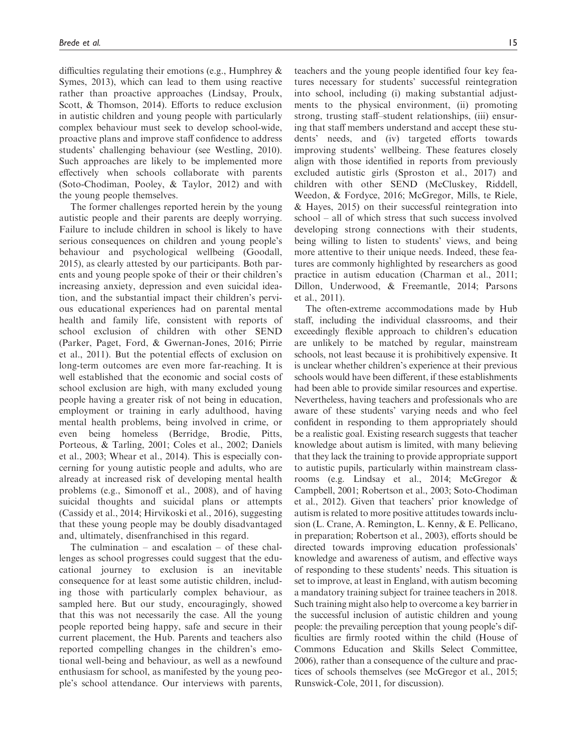difficulties regulating their emotions (e.g., Humphrey & Symes, 2013), which can lead to them using reactive rather than proactive approaches (Lindsay, Proulx, Scott, & Thomson, 2014). Efforts to reduce exclusion in autistic children and young people with particularly complex behaviour must seek to develop school-wide, proactive plans and improve staff confidence to address students' challenging behaviour (see Westling, 2010). Such approaches are likely to be implemented more effectively when schools collaborate with parents (Soto-Chodiman, Pooley, & Taylor, 2012) and with the young people themselves.

The former challenges reported herein by the young autistic people and their parents are deeply worrying. Failure to include children in school is likely to have serious consequences on children and young people's behaviour and psychological wellbeing (Goodall, 2015), as clearly attested by our participants. Both parents and young people spoke of their or their children's increasing anxiety, depression and even suicidal ideation, and the substantial impact their children's pervious educational experiences had on parental mental health and family life, consistent with reports of school exclusion of children with other SEND (Parker, Paget, Ford, & Gwernan-Jones, 2016; Pirrie et al., 2011). But the potential effects of exclusion on long-term outcomes are even more far-reaching. It is well established that the economic and social costs of school exclusion are high, with many excluded young people having a greater risk of not being in education, employment or training in early adulthood, having mental health problems, being involved in crime, or even being homeless (Berridge, Brodie, Pitts, Porteous, & Tarling, 2001; Coles et al., 2002; Daniels et al., 2003; Whear et al., 2014). This is especially concerning for young autistic people and adults, who are already at increased risk of developing mental health problems (e.g., Simonoff et al., 2008), and of having suicidal thoughts and suicidal plans or attempts (Cassidy et al., 2014; Hirvikoski et al., 2016), suggesting that these young people may be doubly disadvantaged and, ultimately, disenfranchised in this regard.

The culmination – and escalation – of these challenges as school progresses could suggest that the educational journey to exclusion is an inevitable consequence for at least some autistic children, including those with particularly complex behaviour, as sampled here. But our study, encouragingly, showed that this was not necessarily the case. All the young people reported being happy, safe and secure in their current placement, the Hub. Parents and teachers also reported compelling changes in the children's emotional well-being and behaviour, as well as a newfound enthusiasm for school, as manifested by the young people's school attendance. Our interviews with parents, teachers and the young people identified four key features necessary for students' successful reintegration into school, including (i) making substantial adjustments to the physical environment, (ii) promoting strong, trusting staff–student relationships, (iii) ensuring that staff members understand and accept these students' needs, and (iv) targeted efforts towards improving students' wellbeing. These features closely align with those identified in reports from previously excluded autistic girls (Sproston et al., 2017) and children with other SEND (McCluskey, Riddell, Weedon, & Fordyce, 2016; McGregor, Mills, te Riele, & Hayes, 2015) on their successful reintegration into school – all of which stress that such success involved developing strong connections with their students, being willing to listen to students' views, and being more attentive to their unique needs. Indeed, these features are commonly highlighted by researchers as good practice in autism education (Charman et al., 2011; Dillon, Underwood, & Freemantle, 2014; Parsons et al., 2011).

The often-extreme accommodations made by Hub staff, including the individual classrooms, and their exceedingly flexible approach to children's education are unlikely to be matched by regular, mainstream schools, not least because it is prohibitively expensive. It is unclear whether children's experience at their previous schools would have been different, if these establishments had been able to provide similar resources and expertise. Nevertheless, having teachers and professionals who are aware of these students' varying needs and who feel confident in responding to them appropriately should be a realistic goal. Existing research suggests that teacher knowledge about autism is limited, with many believing that they lack the training to provide appropriate support to autistic pupils, particularly within mainstream classrooms (e.g. Lindsay et al., 2014; McGregor & Campbell, 2001; Robertson et al., 2003; Soto-Chodiman et al., 2012). Given that teachers' prior knowledge of autism is related to more positive attitudes towards inclusion (L. Crane, A. Remington, L. Kenny, & E. Pellicano, in preparation; Robertson et al., 2003), efforts should be directed towards improving education professionals' knowledge and awareness of autism, and effective ways of responding to these students' needs. This situation is set to improve, at least in England, with autism becoming a mandatory training subject for trainee teachers in 2018. Such training might also help to overcome a key barrier in the successful inclusion of autistic children and young people: the prevailing perception that young people's difficulties are firmly rooted within the child (House of Commons Education and Skills Select Committee, 2006), rather than a consequence of the culture and practices of schools themselves (see McGregor et al., 2015; Runswick-Cole, 2011, for discussion).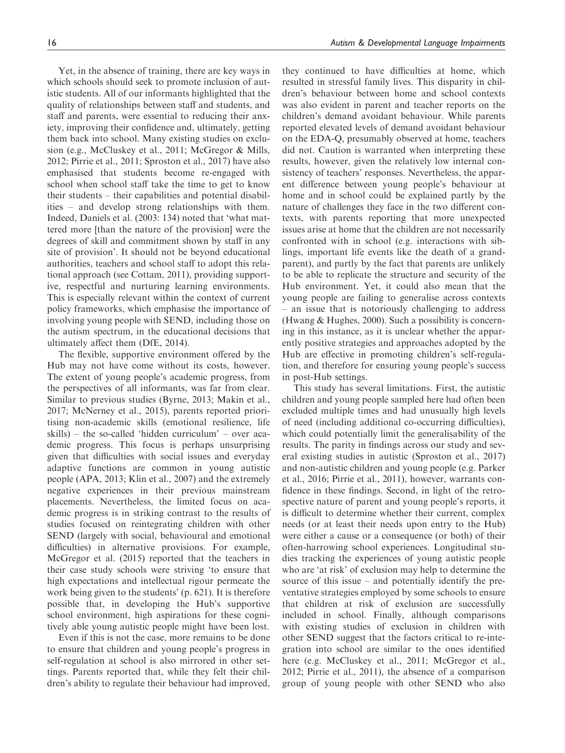Yet, in the absence of training, there are key ways in which schools should seek to promote inclusion of autistic students. All of our informants highlighted that the quality of relationships between staff and students, and staff and parents, were essential to reducing their anxiety, improving their confidence and, ultimately, getting them back into school. Many existing studies on exclusion (e.g., McCluskey et al., 2011; McGregor & Mills, 2012; Pirrie et al., 2011; Sproston et al., 2017) have also emphasised that students become re-engaged with school when school staff take the time to get to know their students – their capabilities and potential disabilities – and develop strong relationships with them. Indeed, Daniels et al. (2003: 134) noted that 'what mattered more [than the nature of the provision] were the degrees of skill and commitment shown by staff in any site of provision'. It should not be beyond educational authorities, teachers and school staff to adopt this relational approach (see Cottam, 2011), providing supportive, respectful and nurturing learning environments. This is especially relevant within the context of current policy frameworks, which emphasise the importance of involving young people with SEND, including those on the autism spectrum, in the educational decisions that ultimately affect them (DfE, 2014).

The flexible, supportive environment offered by the Hub may not have come without its costs, however. The extent of young people's academic progress, from the perspectives of all informants, was far from clear. Similar to previous studies (Byrne, 2013; Makin et al., 2017; McNerney et al., 2015), parents reported prioritising non-academic skills (emotional resilience, life skills) – the so-called 'hidden curriculum' – over academic progress. This focus is perhaps unsurprising given that difficulties with social issues and everyday adaptive functions are common in young autistic people (APA, 2013; Klin et al., 2007) and the extremely negative experiences in their previous mainstream placements. Nevertheless, the limited focus on academic progress is in striking contrast to the results of studies focused on reintegrating children with other SEND (largely with social, behavioural and emotional difficulties) in alternative provisions. For example, McGregor et al. (2015) reported that the teachers in their case study schools were striving 'to ensure that high expectations and intellectual rigour permeate the work being given to the students' (p. 621). It is therefore possible that, in developing the Hub's supportive school environment, high aspirations for these cognitively able young autistic people might have been lost.

Even if this is not the case, more remains to be done to ensure that children and young people's progress in self-regulation at school is also mirrored in other settings. Parents reported that, while they felt their children's ability to regulate their behaviour had improved,

they continued to have difficulties at home, which resulted in stressful family lives. This disparity in children's behaviour between home and school contexts was also evident in parent and teacher reports on the children's demand avoidant behaviour. While parents reported elevated levels of demand avoidant behaviour on the EDA-Q, presumably observed at home, teachers did not. Caution is warranted when interpreting these results, however, given the relatively low internal consistency of teachers' responses. Nevertheless, the apparent difference between young people's behaviour at home and in school could be explained partly by the nature of challenges they face in the two different contexts, with parents reporting that more unexpected issues arise at home that the children are not necessarily confronted with in school (e.g. interactions with siblings, important life events like the death of a grandparent), and partly by the fact that parents are unlikely to be able to replicate the structure and security of the Hub environment. Yet, it could also mean that the young people are failing to generalise across contexts – an issue that is notoriously challenging to address (Hwang & Hughes, 2000). Such a possibility is concerning in this instance, as it is unclear whether the apparently positive strategies and approaches adopted by the Hub are effective in promoting children's self-regulation, and therefore for ensuring young people's success in post-Hub settings.

This study has several limitations. First, the autistic children and young people sampled here had often been excluded multiple times and had unusually high levels of need (including additional co-occurring difficulties), which could potentially limit the generalisability of the results. The parity in findings across our study and several existing studies in autistic (Sproston et al., 2017) and non-autistic children and young people (e.g. Parker et al., 2016; Pirrie et al., 2011), however, warrants confidence in these findings. Second, in light of the retrospective nature of parent and young people's reports, it is difficult to determine whether their current, complex needs (or at least their needs upon entry to the Hub) were either a cause or a consequence (or both) of their often-harrowing school experiences. Longitudinal studies tracking the experiences of young autistic people who are 'at risk' of exclusion may help to determine the source of this issue – and potentially identify the preventative strategies employed by some schools to ensure that children at risk of exclusion are successfully included in school. Finally, although comparisons with existing studies of exclusion in children with other SEND suggest that the factors critical to re-integration into school are similar to the ones identified here (e.g. McCluskey et al., 2011; McGregor et al., 2012; Pirrie et al., 2011), the absence of a comparison group of young people with other SEND who also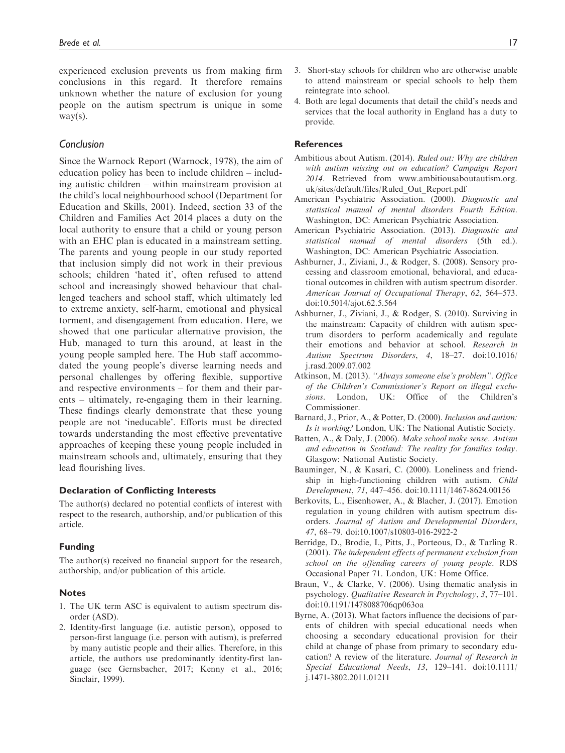experienced exclusion prevents us from making firm conclusions in this regard. It therefore remains unknown whether the nature of exclusion for young people on the autism spectrum is unique in some way(s).

## Conclusion

Since the Warnock Report (Warnock, 1978), the aim of education policy has been to include children – including autistic children – within mainstream provision at the child's local neighbourhood school (Department for Education and Skills, 2001). Indeed, section 33 of the Children and Families Act 2014 places a duty on the local authority to ensure that a child or young person with an EHC plan is educated in a mainstream setting. The parents and young people in our study reported that inclusion simply did not work in their previous schools; children 'hated it', often refused to attend school and increasingly showed behaviour that challenged teachers and school staff, which ultimately led to extreme anxiety, self-harm, emotional and physical torment, and disengagement from education. Here, we showed that one particular alternative provision, the Hub, managed to turn this around, at least in the young people sampled here. The Hub staff accommodated the young people's diverse learning needs and personal challenges by offering flexible, supportive and respective environments – for them and their parents – ultimately, re-engaging them in their learning. These findings clearly demonstrate that these young people are not 'ineducable'. Efforts must be directed towards understanding the most effective preventative approaches of keeping these young people included in mainstream schools and, ultimately, ensuring that they lead flourishing lives.

#### Declaration of Conflicting Interests

The author(s) declared no potential conflicts of interest with respect to the research, authorship, and/or publication of this article.

#### Funding

The author(s) received no financial support for the research, authorship, and/or publication of this article.

#### **Notes**

- 1. The UK term ASC is equivalent to autism spectrum disorder (ASD).
- 2. Identity-first language (i.e. autistic person), opposed to person-first language (i.e. person with autism), is preferred by many autistic people and their allies. Therefore, in this article, the authors use predominantly identity-first language (see Gernsbacher, 2017; Kenny et al., 2016; Sinclair, 1999).
- 3. Short-stay schools for children who are otherwise unable to attend mainstream or special schools to help them reintegrate into school.
- 4. Both are legal documents that detail the child's needs and services that the local authority in England has a duty to provide.

#### **References**

- Ambitious about Autism. (2014). Ruled out: Why are children with autism missing out on education? Campaign Report 2014. Retrieved from [www.ambitiousaboutautism.org.](www.ambitiousaboutautism.org.uk/sites/default/files/Ruled_Out_Report.pdf) [uk/sites/default/files/Ruled\\_Out\\_Report.pdf](www.ambitiousaboutautism.org.uk/sites/default/files/Ruled_Out_Report.pdf)
- American Psychiatric Association. (2000). Diagnostic and statistical manual of mental disorders Fourth Edition. Washington, DC: American Psychiatric Association.
- American Psychiatric Association. (2013). Diagnostic and statistical manual of mental disorders (5th ed.). Washington, DC: American Psychiatric Association.
- Ashburner, J., Ziviani, J., & Rodger, S. (2008). Sensory processing and classroom emotional, behavioral, and educational outcomes in children with autism spectrum disorder. American Journal of Occupational Therapy, 62, 564–573. doi:10.5014/ajot.62.5.564
- Ashburner, J., Ziviani, J., & Rodger, S. (2010). Surviving in the mainstream: Capacity of children with autism spectrum disorders to perform academically and regulate their emotions and behavior at school. Research in Autism Spectrum Disorders, 4, 18–27. doi:10.1016/ j.rasd.2009.07.002
- Atkinson, M. (2013). ''Always someone else's problem''. Office of the Children's Commissioner's Report on illegal exclusions. London, UK: Office of the Children's Commissioner.
- Barnard, J., Prior, A., & Potter, D. (2000). Inclusion and autism: Is it working? London, UK: The National Autistic Society.
- Batten, A., & Daly, J. (2006). Make school make sense. Autism and education in Scotland: The reality for families today. Glasgow: National Autistic Society.
- Bauminger, N., & Kasari, C. (2000). Loneliness and friendship in high-functioning children with autism. Child Development, 71, 447–456. doi:10.1111/1467-8624.00156
- Berkovits, L., Eisenhower, A., & Blacher, J. (2017). Emotion regulation in young children with autism spectrum disorders. Journal of Autism and Developmental Disorders, 47, 68–79. doi:10.1007/s10803-016-2922-2
- Berridge, D., Brodie, I., Pitts, J., Porteous, D., & Tarling R. (2001). The independent effects of permanent exclusion from school on the offending careers of young people. RDS Occasional Paper 71. London, UK: Home Office.
- Braun, V., & Clarke, V. (2006). Using thematic analysis in psychology. Qualitative Research in Psychology, 3, 77–101. doi:10.1191/1478088706qp063oa
- Byrne, A. (2013). What factors influence the decisions of parents of children with special educational needs when choosing a secondary educational provision for their child at change of phase from primary to secondary education? A review of the literature. Journal of Research in Special Educational Needs, 13, 129–141. doi:10.1111/ j.1471-3802.2011.01211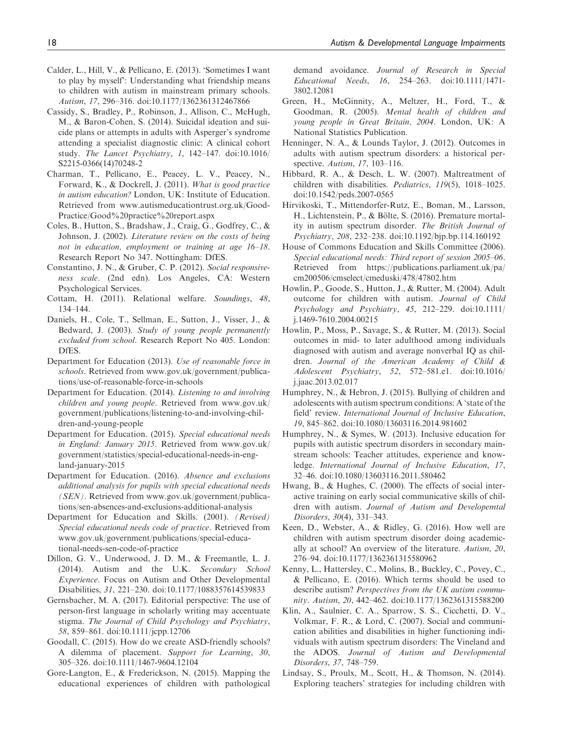- Calder, L., Hill, V., & Pellicano, E. (2013). 'Sometimes I want to play by myself': Understanding what friendship means to children with autism in mainstream primary schools. Autism, 17, 296–316. doi:10.1177/1362361312467866
- Cassidy, S., Bradley, P., Robinson, J., Allison, C., McHugh, M., & Baron-Cohen, S. (2014). Suicidal ideation and suicide plans or attempts in adults with Asperger's syndrome attending a specialist diagnostic clinic: A clinical cohort study. The Lancet Psychiatry, 1, 142–147. doi:10.1016/ S2215-0366(14)70248-2
- Charman, T., Pellicano, E., Peacey, L. V., Peacey, N., Forward, K., & Dockrell, J. (2011). What is good practice in autism education? London, UK: Institute of Education. Retrieved from [www.autismeducationtrust.org.uk/Good-](www.autismeducationtrust.org.uk/Good-Practice/Good20practice20report.aspx)[Practice/Good%20practice%20report.aspx](www.autismeducationtrust.org.uk/Good-Practice/Good20practice20report.aspx)
- Coles, B., Hutton, S., Bradshaw, J., Craig, G., Godfrey, C., & Johnson, J. (2002). Literature review on the costs of being not in education, employment or training at age 16–18. Research Report No 347. Nottingham: DfES.
- Constantino, J. N., & Gruber, C. P. (2012). Social responsiveness scale. (2nd edn). Los Angeles, CA: Western Psychological Services.
- Cottam, H. (2011). Relational welfare. Soundings, 48, 134–144.
- Daniels, H., Cole, T., Sellman, E., Sutton, J., Visser, J., & Bedward, J. (2003). Study of young people permanently excluded from school. Research Report No 405. London: DfES.
- Department for Education (2013). Use of reasonable force in schools. Retrieved from [www.gov.uk/government/publica](www.gov.uk/government/publications/use-of-reasonable-force-in-schools)[tions/use-of-reasonable-force-in-schools](www.gov.uk/government/publications/use-of-reasonable-force-in-schools)
- Department for Education. (2014). Listening to and involving children and young people. Retrieved from [www.gov.uk/](www.gov.uk/government/publications/listening-to-and-involving-children-and-young-people) [government/publications/listening-to-and-involving-chil](www.gov.uk/government/publications/listening-to-and-involving-children-and-young-people)[dren-and-young-people](www.gov.uk/government/publications/listening-to-and-involving-children-and-young-people)
- Department for Education. (2015). Special educational needs in England: January 2015. Retrieved from [www.gov.uk/](www.gov.uk/government/statistics/special-educational-needs-in-england-january-2015) [government/statistics/special-educational-needs-in-eng](www.gov.uk/government/statistics/special-educational-needs-in-england-january-2015)[land-january-2015](www.gov.uk/government/statistics/special-educational-needs-in-england-january-2015)
- Department for Education. (2016). Absence and exclusions additional analysis for pupils with special educational needs (SEN). Retrieved from [www.gov.uk/government/publica](www.gov.uk/government/publications/sen-absences-and-exclusions-additional-analysis)[tions/sen-absences-and-exclusions-additional-analysis](www.gov.uk/government/publications/sen-absences-and-exclusions-additional-analysis)
- Department for Education and Skills. (2001). (Revised) Special educational needs code of practice. Retrieved from [www.gov.uk/government/publications/special-educa](www.gov.uk/government/publications/special-educational-needs-sen-code-of-practice)[tional-needs-sen-code-of-practice](www.gov.uk/government/publications/special-educational-needs-sen-code-of-practice)
- Dillon, G. V., Underwood, J. D. M., & Freemantle, L. J. (2014). Autism and the U.K. Secondary School Experience. Focus on Autism and Other Developmental Disabilities, 31, 221–230. doi:10.1177/1088357614539833
- Gernsbacher, M. A. (2017). Editorial perspective: The use of person-first language in scholarly writing may accentuate stigma. The Journal of Child Psychology and Psychiatry, 58, 859–861. doi:10.1111/jcpp.12706
- Goodall, C. (2015). How do we create ASD-friendly schools? A dilemma of placement. Support for Learning, 30, 305–326. doi:10.1111/1467-9604.12104
- Gore-Langton, E., & Frederickson, N. (2015). Mapping the educational experiences of children with pathological

demand avoidance. Journal of Research in Special Educational Needs, 16, 254–263. doi:10.1111/1471- 3802.12081

- Green, H., McGinnity, A., Meltzer, H., Ford, T., & Goodman, R. (2005). Mental health of children and young people in Great Britain, 2004. London, UK: A National Statistics Publication.
- Henninger, N. A., & Lounds Taylor, J. (2012). Outcomes in adults with autism spectrum disorders: a historical perspective. Autism, 17, 103-116.
- Hibbard, R. A., & Desch, L. W. (2007). Maltreatment of children with disabilities. Pediatrics, 119(5), 1018–1025. doi:10.1542/peds.2007-0565
- Hirvikoski, T., Mittendorfer-Rutz, E., Boman, M., Larsson, H., Lichtenstein, P., & Bölte, S. (2016). Premature mortality in autism spectrum disorder. The British Journal of Psychiatry, 208, 232–238. doi:10.1192/bjp.bp.114.160192
- House of Commons Education and Skills Committee (2006). Special educational needs: Third report of session 2005–06. Retrieved from [https://publications.parliament.uk/pa/](https://publications.parliament.uk/pa/cm200506/cmselect/cmeduski/478/47802.htm) [cm200506/cmselect/cmeduski/478/47802.htm](https://publications.parliament.uk/pa/cm200506/cmselect/cmeduski/478/47802.htm)
- Howlin, P., Goode, S., Hutton, J., & Rutter, M. (2004). Adult outcome for children with autism. Journal of Child Psychology and Psychiatry, 45, 212–229. doi:10.1111/ j.1469-7610.2004.00215
- Howlin, P., Moss, P., Savage, S., & Rutter, M. (2013). Social outcomes in mid- to later adulthood among individuals diagnosed with autism and average nonverbal IQ as children. Journal of the American Academy of Child & Adolescent Psychiatry, 52, 572–581.e1. doi:10.1016/ j.jaac.2013.02.017
- Humphrey, N., & Hebron, J. (2015). Bullying of children and adolescents with autism spectrum conditions: A 'state of the field' review. International Journal of Inclusive Education, 19, 845–862. doi:10.1080/13603116.2014.981602
- Humphrey, N., & Symes, W. (2013). Inclusive education for pupils with autistic spectrum disorders in secondary mainstream schools: Teacher attitudes, experience and knowledge. International Journal of Inclusive Education, 17, 32–46. doi:10.1080/13603116.2011.580462
- Hwang, B., & Hughes, C. (2000). The effects of social interactive training on early social communicative skills of children with autism. Journal of Autism and Developemtal Disorders, 30(4), 331–343.
- Keen, D., Webster, A., & Ridley, G. (2016). How well are children with autism spectrum disorder doing academically at school? An overview of the literature. Autism, 20, 276–94. doi:10.1177/1362361315580962
- Kenny, L., Hattersley, C., Molins, B., Buckley, C., Povey, C., & Pellicano, E. (2016). Which terms should be used to describe autism? Perspectives from the UK autism community. Autism, 20, 442–462. doi:10.1177/1362361315588200
- Klin, A., Saulnier, C. A., Sparrow, S. S., Cicchetti, D. V., Volkmar, F. R., & Lord, C. (2007). Social and communication abilities and disabilities in higher functioning individuals with autism spectrum disorders: The Vineland and the ADOS. Journal of Autism and Developmental Disorders, 37, 748–759.
- Lindsay, S., Proulx, M., Scott, H., & Thomson, N. (2014). Exploring teachers' strategies for including children with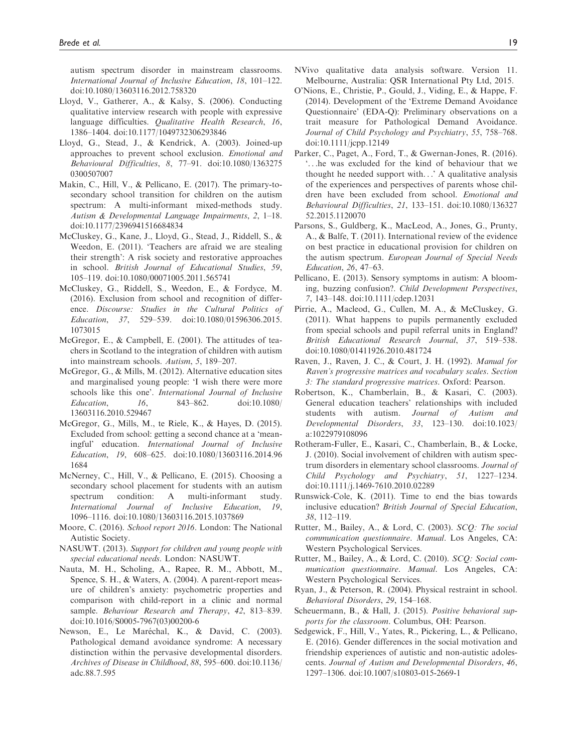autism spectrum disorder in mainstream classrooms. International Journal of Inclusive Education, 18, 101–122. doi:10.1080/13603116.2012.758320

- Lloyd, V., Gatherer, A., & Kalsy, S. (2006). Conducting qualitative interview research with people with expressive language difficulties. Qualitative Health Research, 16, 1386–1404. doi:10.1177/1049732306293846
- Lloyd, G., Stead, J., & Kendrick, A. (2003). Joined-up approaches to prevent school exclusion. Emotional and Behavioural Difficulties, 8, 77–91. doi:10.1080/1363275 0300507007
- Makin, C., Hill, V., & Pellicano, E. (2017). The primary-tosecondary school transition for children on the autism spectrum: A multi-informant mixed-methods study. Autism & Developmental Language Impairments, 2, 1–18. doi:10.1177/2396941516684834
- McCluskey, G., Kane, J., Lloyd, G., Stead, J., Riddell, S., & Weedon, E. (2011). 'Teachers are afraid we are stealing their strength': A risk society and restorative approaches in school. British Journal of Educational Studies, 59, 105–119. doi:10.1080/00071005.2011.565741
- McCluskey, G., Riddell, S., Weedon, E., & Fordyce, M. (2016). Exclusion from school and recognition of difference. Discourse: Studies in the Cultural Politics of Education, 37, 529–539. doi:10.1080/01596306.2015. 1073015
- McGregor, E., & Campbell, E. (2001). The attitudes of teachers in Scotland to the integration of children with autism into mainstream schools. Autism, 5, 189–207.
- McGregor, G., & Mills, M. (2012). Alternative education sites and marginalised young people: 'I wish there were more schools like this one'. International Journal of Inclusive Education, 16, 843–862. doi:10.1080/ 13603116.2010.529467
- McGregor, G., Mills, M., te Riele, K., & Hayes, D. (2015). Excluded from school: getting a second chance at a 'meaningful' education. International Journal of Inclusive Education, 19, 608–625. doi:10.1080/13603116.2014.96 1684
- McNerney, C., Hill, V., & Pellicano, E. (2015). Choosing a secondary school placement for students with an autism spectrum condition: A multi-informant study. International Journal of Inclusive Education, 19, 1096–1116. doi:10.1080/13603116.2015.1037869
- Moore, C. (2016). School report 2016. London: The National Autistic Society.
- NASUWT. (2013). Support for children and young people with special educational needs. London: NASUWT.
- Nauta, M. H., Scholing, A., Rapee, R. M., Abbott, M., Spence, S. H., & Waters, A. (2004). A parent-report measure of children's anxiety: psychometric properties and comparison with child-report in a clinic and normal sample. Behaviour Research and Therapy, 42, 813-839. doi:10.1016/S0005-7967(03)00200-6
- Newson, E., Le Maréchal, K., & David, C. (2003). Pathological demand avoidance syndrome: A necessary distinction within the pervasive developmental disorders. Archives of Disease in Childhood, 88, 595–600. doi:10.1136/ adc.88.7.595
- NVivo qualitative data analysis software. Version 11. Melbourne, Australia: QSR International Pty Ltd, 2015.
- O'Nions, E., Christie, P., Gould, J., Viding, E., & Happe, F. (2014). Development of the 'Extreme Demand Avoidance Questionnaire' (EDA-Q): Preliminary observations on a trait measure for Pathological Demand Avoidance. Journal of Child Psychology and Psychiatry, 55, 758–768. doi:10.1111/jcpp.12149
- Parker, C., Paget, A., Ford, T., & Gwernan-Jones, R. (2016). '...he was excluded for the kind of behaviour that we thought he needed support with...' A qualitative analysis of the experiences and perspectives of parents whose children have been excluded from school. Emotional and Behavioural Difficulties, 21, 133–151. doi:10.1080/136327 52.2015.1120070
- Parsons, S., Guldberg, K., MacLeod, A., Jones, G., Prunty, A., & Balfe, T. (2011). International review of the evidence on best practice in educational provision for children on the autism spectrum. European Journal of Special Needs Education, 26, 47–63.
- Pellicano, E. (2013). Sensory symptoms in autism: A blooming, buzzing confusion?. Child Development Perspectives, 7, 143–148. doi:10.1111/cdep.12031
- Pirrie, A., Macleod, G., Cullen, M. A., & McCluskey, G. (2011). What happens to pupils permanently excluded from special schools and pupil referral units in England? British Educational Research Journal, 37, 519–538. doi:10.1080/01411926.2010.481724
- Raven, J., Raven, J. C., & Court, J. H. (1992). Manual for Raven's progressive matrices and vocabulary scales. Section 3: The standard progressive matrices. Oxford: Pearson.
- Robertson, K., Chamberlain, B., & Kasari, C. (2003). General education teachers' relationships with included students with autism. Journal of Autism and Developmental Disorders, 33, 123–130. doi:10.1023/ a:1022979108096
- Rotheram-Fuller, E., Kasari, C., Chamberlain, B., & Locke, J. (2010). Social involvement of children with autism spectrum disorders in elementary school classrooms. Journal of Child Psychology and Psychiatry, 51, 1227–1234. doi:10.1111/j.1469-7610.2010.02289
- Runswick-Cole, K. (2011). Time to end the bias towards inclusive education? British Journal of Special Education, 38, 112–119.
- Rutter, M., Bailey, A., & Lord, C. (2003). SCQ: The social communication questionnaire. Manual. Los Angeles, CA: Western Psychological Services.
- Rutter, M., Bailey, A., & Lord, C. (2010). SCQ: Social communication questionnaire. Manual. Los Angeles, CA: Western Psychological Services.
- Ryan, J., & Peterson, R. (2004). Physical restraint in school. Behavioral Disorders, 29, 154–168.
- Scheuermann, B., & Hall, J. (2015). Positive behavioral supports for the classroom. Columbus, OH: Pearson.
- Sedgewick, F., Hill, V., Yates, R., Pickering, L., & Pellicano, E. (2016). Gender differences in the social motivation and friendship experiences of autistic and non-autistic adolescents. Journal of Autism and Developmental Disorders, 46, 1297–1306. doi:10.1007/s10803-015-2669-1